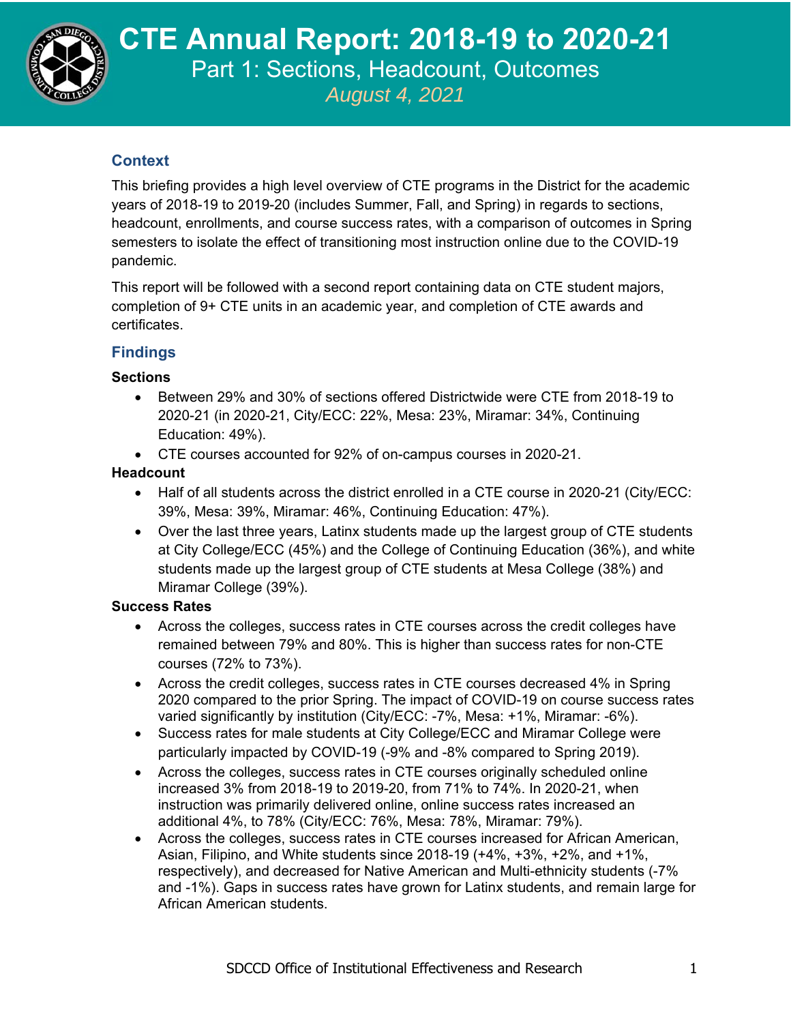

**CTE Annual Report, 2021 CTE Annual Report: 2018-19 to 2020-21**  Part 1: Sections, Headcount, Outcomes

*August 4, 2021*

# **Context**

This briefing provides a high level overview of CTE programs in the District for the academic years of 2018-19 to 2019-20 (includes Summer, Fall, and Spring) in regards to sections, headcount, enrollments, and course success rates, with a comparison of outcomes in Spring semesters to isolate the effect of transitioning most instruction online due to the COVID-19 pandemic.

This report will be followed with a second report containing data on CTE student majors, completion of 9+ CTE units in an academic year, and completion of CTE awards and certificates.

# **Findings**

## **Sections**

- Between 29% and 30% of sections offered Districtwide were CTE from 2018-19 to 2020-21 (in 2020-21, City/ECC: 22%, Mesa: 23%, Miramar: 34%, Continuing Education: 49%).
- CTE courses accounted for 92% of on-campus courses in 2020-21.

## **Headcount**

- Half of all students across the district enrolled in a CTE course in 2020-21 (City/ECC: 39%, Mesa: 39%, Miramar: 46%, Continuing Education: 47%).
- Over the last three years, Latinx students made up the largest group of CTE students at City College/ECC (45%) and the College of Continuing Education (36%), and white students made up the largest group of CTE students at Mesa College (38%) and Miramar College (39%).

## **Success Rates**

- Across the colleges, success rates in CTE courses across the credit colleges have remained between 79% and 80%. This is higher than success rates for non-CTE courses (72% to 73%).
- Across the credit colleges, success rates in CTE courses decreased 4% in Spring 2020 compared to the prior Spring. The impact of COVID-19 on course success rates varied significantly by institution (City/ECC: -7%, Mesa: +1%, Miramar: -6%).
- Success rates for male students at City College/ECC and Miramar College were particularly impacted by COVID-19 (-9% and -8% compared to Spring 2019).
- Across the colleges, success rates in CTE courses originally scheduled online increased 3% from 2018-19 to 2019-20, from 71% to 74%. In 2020-21, when instruction was primarily delivered online, online success rates increased an additional 4%, to 78% (City/ECC: 76%, Mesa: 78%, Miramar: 79%).
- Across the colleges, success rates in CTE courses increased for African American, Asian, Filipino, and White students since 2018-19 (+4%, +3%, +2%, and +1%, respectively), and decreased for Native American and Multi-ethnicity students (-7% and -1%). Gaps in success rates have grown for Latinx students, and remain large for African American students.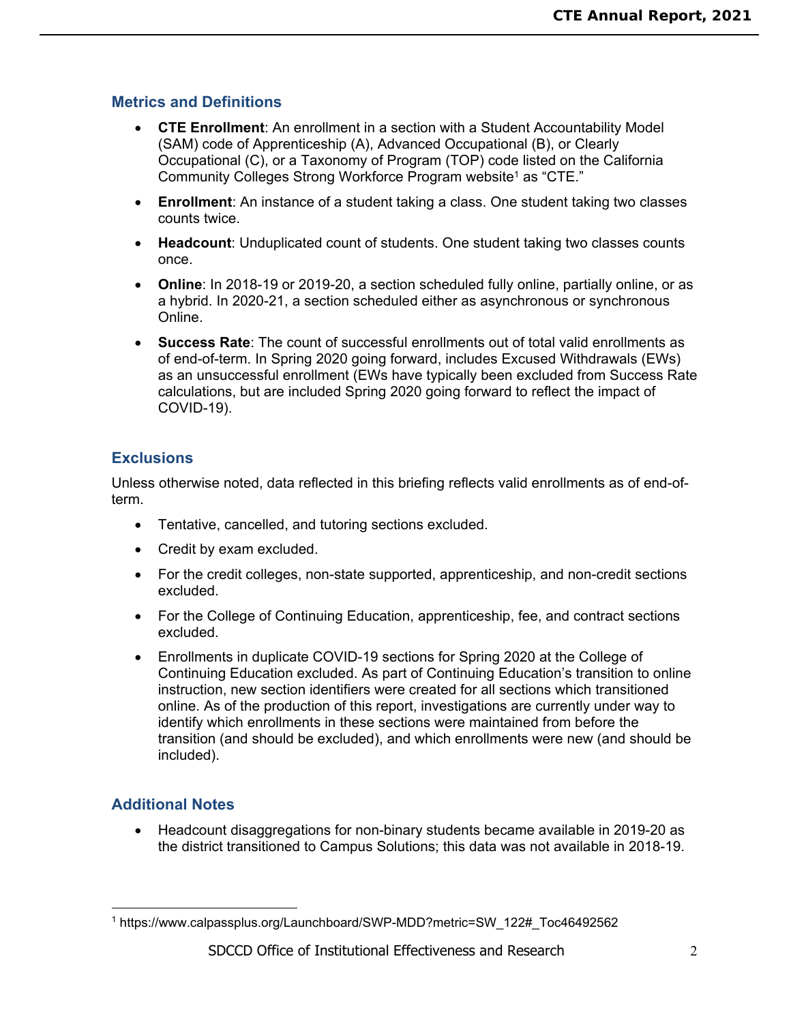## **Metrics and Definitions**

- **CTE Enrollment**: An enrollment in a section with a Student Accountability Model (SAM) code of Apprenticeship (A), Advanced Occupational (B), or Clearly Occupational (C), or a Taxonomy of Program (TOP) code listed on the California Community Colleges Strong Workforce Program website<sup>1</sup> as "CTE."
- **Enrollment**: An instance of a student taking a class. One student taking two classes counts twice.
- **Headcount**: Unduplicated count of students. One student taking two classes counts once.
- **Online**: In 2018-19 or 2019-20, a section scheduled fully online, partially online, or as a hybrid. In 2020-21, a section scheduled either as asynchronous or synchronous Online.
- **Success Rate**: The count of successful enrollments out of total valid enrollments as of end-of-term. In Spring 2020 going forward, includes Excused Withdrawals (EWs) as an unsuccessful enrollment (EWs have typically been excluded from Success Rate calculations, but are included Spring 2020 going forward to reflect the impact of COVID-19).

## **Exclusions**

Unless otherwise noted, data reflected in this briefing reflects valid enrollments as of end-ofterm.

- Tentative, cancelled, and tutoring sections excluded.
- Credit by exam excluded.
- For the credit colleges, non-state supported, apprenticeship, and non-credit sections excluded.
- For the College of Continuing Education, apprenticeship, fee, and contract sections excluded.
- Enrollments in duplicate COVID-19 sections for Spring 2020 at the College of Continuing Education excluded. As part of Continuing Education's transition to online instruction, new section identifiers were created for all sections which transitioned online. As of the production of this report, investigations are currently under way to identify which enrollments in these sections were maintained from before the transition (and should be excluded), and which enrollments were new (and should be included).

# **Additional Notes**

 $\overline{a}$ 

 Headcount disaggregations for non-binary students became available in 2019-20 as the district transitioned to Campus Solutions; this data was not available in 2018-19.

<sup>1</sup> https://www.calpassplus.org/Launchboard/SWP-MDD?metric=SW\_122#\_Toc46492562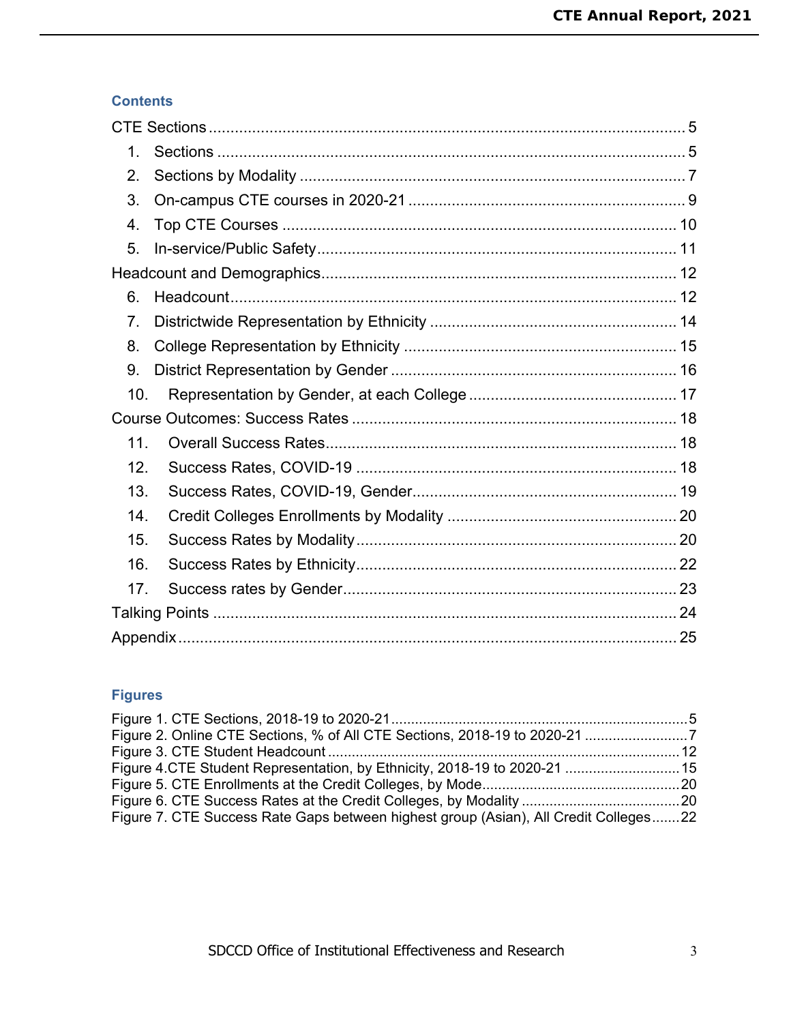## **Contents**

| $\mathbf 1$ . |  |
|---------------|--|
| 2.            |  |
| 3.            |  |
| 4.            |  |
| 5.            |  |
|               |  |
| 6.            |  |
| 7.            |  |
| 8.            |  |
| 9.            |  |
| 10.           |  |
|               |  |
| 11.           |  |
| 12.           |  |
| 13.           |  |
| 14.           |  |
| 15.           |  |
| 16.           |  |
| 17.           |  |
|               |  |
|               |  |

# **Figures**

| Figure 4.CTE Student Representation, by Ethnicity, 2018-19 to 2020-21 15             |  |
|--------------------------------------------------------------------------------------|--|
|                                                                                      |  |
|                                                                                      |  |
| Figure 7. CTE Success Rate Gaps between highest group (Asian), All Credit Colleges22 |  |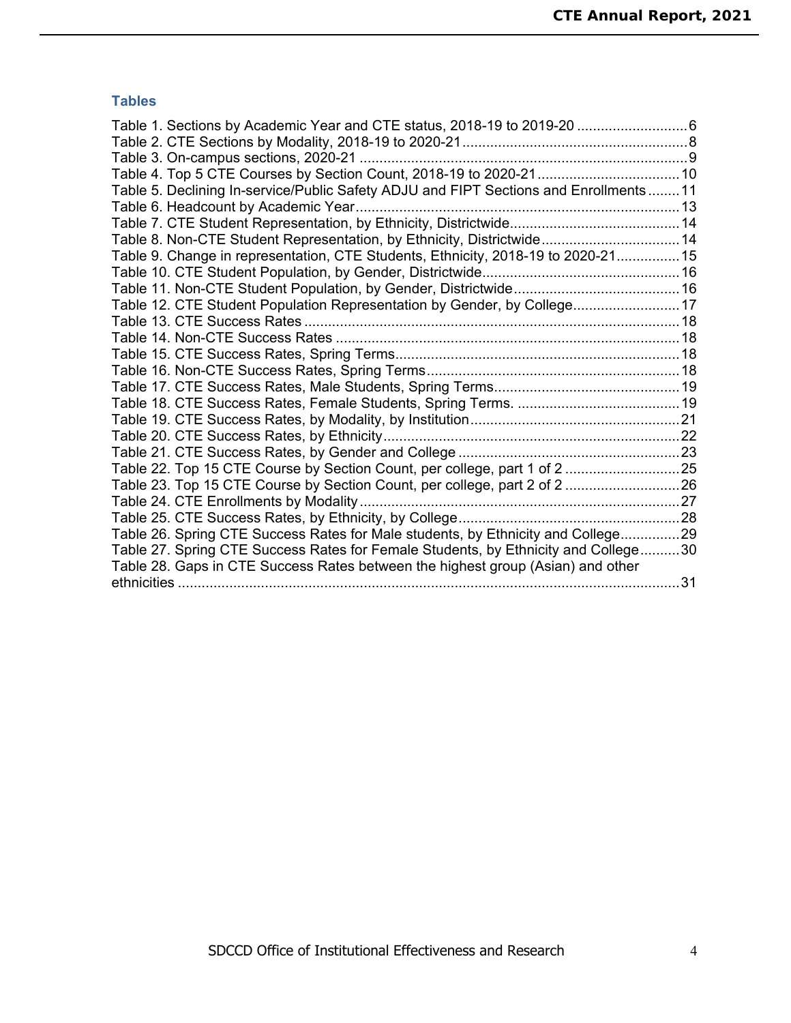## **Tables**

| Table 1. Sections by Academic Year and CTE status, 2018-19 to 2019-20 6              |  |
|--------------------------------------------------------------------------------------|--|
|                                                                                      |  |
|                                                                                      |  |
|                                                                                      |  |
| Table 5. Declining In-service/Public Safety ADJU and FIPT Sections and Enrollments11 |  |
| Table 6. Headcount by Academic Year                                                  |  |
|                                                                                      |  |
| Table 8. Non-CTE Student Representation, by Ethnicity, Districtwide 14               |  |
| Table 9. Change in representation, CTE Students, Ethnicity, 2018-19 to 2020-2115     |  |
|                                                                                      |  |
|                                                                                      |  |
| Table 12. CTE Student Population Representation by Gender, by College17              |  |
|                                                                                      |  |
|                                                                                      |  |
|                                                                                      |  |
|                                                                                      |  |
|                                                                                      |  |
|                                                                                      |  |
|                                                                                      |  |
|                                                                                      |  |
|                                                                                      |  |
| Table 22. Top 15 CTE Course by Section Count, per college, part 1 of 2 25            |  |
| Table 23. Top 15 CTE Course by Section Count, per college, part 2 of 2 26            |  |
|                                                                                      |  |
|                                                                                      |  |
| Table 26. Spring CTE Success Rates for Male students, by Ethnicity and College29     |  |
| Table 27. Spring CTE Success Rates for Female Students, by Ethnicity and College30   |  |
| Table 28. Gaps in CTE Success Rates between the highest group (Asian) and other      |  |
|                                                                                      |  |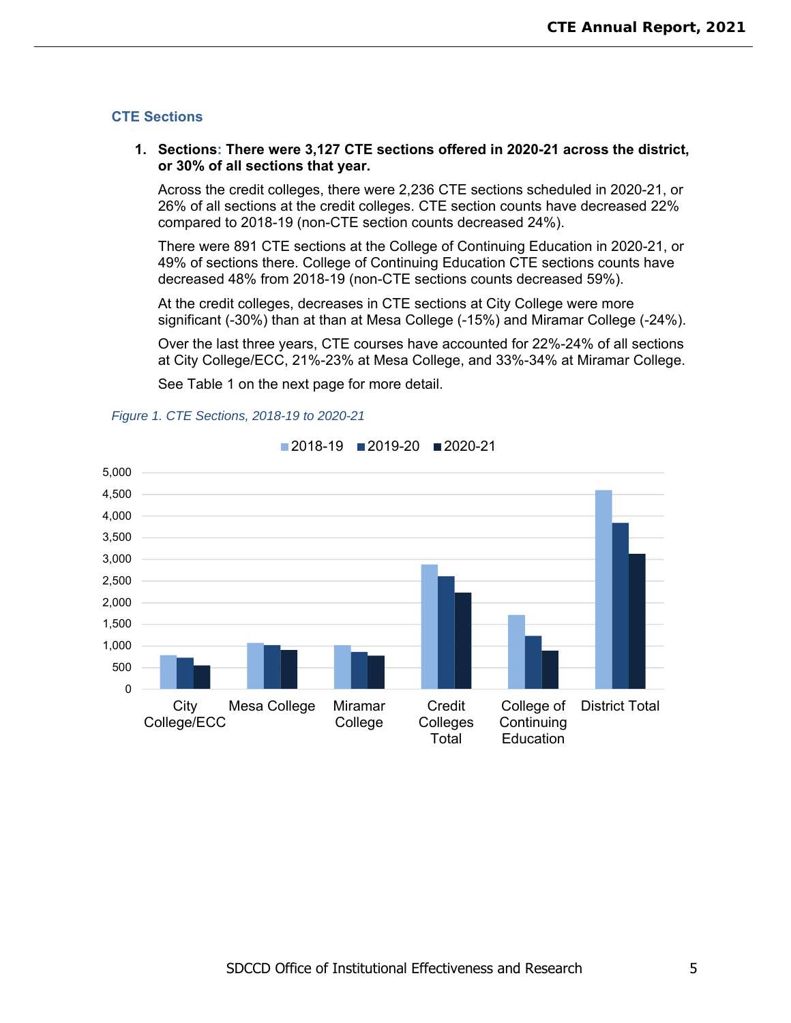### **CTE Sections**

### **1. Sections: There were 3,127 CTE sections offered in 2020-21 across the district, or 30% of all sections that year.**

Across the credit colleges, there were 2,236 CTE sections scheduled in 2020-21, or 26% of all sections at the credit colleges. CTE section counts have decreased 22% compared to 2018-19 (non-CTE section counts decreased 24%).

There were 891 CTE sections at the College of Continuing Education in 2020-21, or 49% of sections there. College of Continuing Education CTE sections counts have decreased 48% from 2018-19 (non-CTE sections counts decreased 59%).

At the credit colleges, decreases in CTE sections at City College were more significant (-30%) than at than at Mesa College (-15%) and Miramar College (-24%).

Over the last three years, CTE courses have accounted for 22%-24% of all sections at City College/ECC, 21%-23% at Mesa College, and 33%-34% at Miramar College.

See Table 1 on the next page for more detail.



#### *Figure 1. CTE Sections, 2018-19 to 2020-21*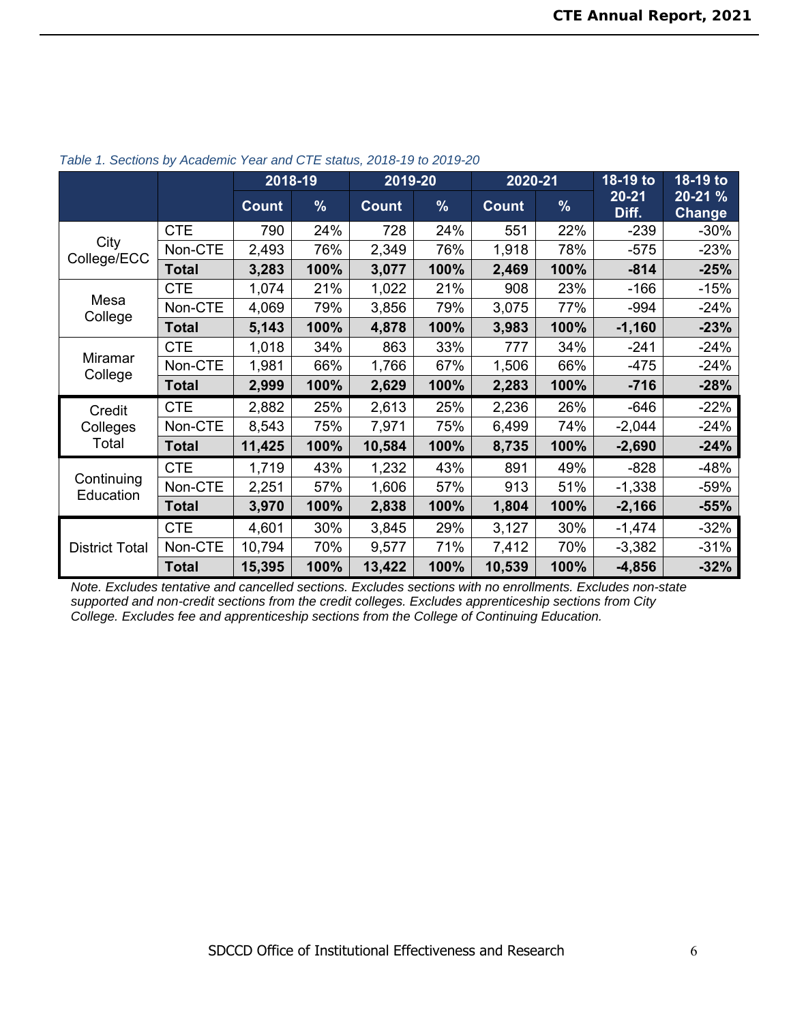|                         |              |              | 2018-19 | 2019-20      |      | 2020-21      |      | 18-19 to           | 18-19 to                 |
|-------------------------|--------------|--------------|---------|--------------|------|--------------|------|--------------------|--------------------------|
|                         |              | <b>Count</b> | %       | <b>Count</b> | $\%$ | <b>Count</b> | %    | $20 - 21$<br>Diff. | 20-21 %<br><b>Change</b> |
|                         | <b>CTE</b>   | 790          | 24%     | 728          | 24%  | 551          | 22%  | $-239$             | $-30%$                   |
| City<br>College/ECC     | Non-CTE      | 2,493        | 76%     | 2,349        | 76%  | 1,918        | 78%  | $-575$             | $-23%$                   |
|                         | <b>Total</b> | 3,283        | 100%    | 3,077        | 100% | 2,469        | 100% | $-814$             | $-25%$                   |
|                         | <b>CTE</b>   | 1,074        | 21%     | 1,022        | 21%  | 908          | 23%  | $-166$             | $-15%$                   |
| Mesa<br>College         | Non-CTE      | 4,069        | 79%     | 3,856        | 79%  | 3,075        | 77%  | -994               | $-24%$                   |
|                         | <b>Total</b> | 5,143        | 100%    | 4,878        | 100% | 3,983        | 100% | $-1,160$           | $-23%$                   |
|                         | <b>CTE</b>   | 1,018        | 34%     | 863          | 33%  | 777          | 34%  | $-241$             | $-24%$                   |
| Miramar<br>College      | Non-CTE      | 1,981        | 66%     | 1,766        | 67%  | 1,506        | 66%  | $-475$             | $-24%$                   |
|                         | <b>Total</b> | 2,999        | 100%    | 2,629        | 100% | 2,283        | 100% | $-716$             | $-28%$                   |
| Credit                  | <b>CTE</b>   | 2,882        | 25%     | 2,613        | 25%  | 2,236        | 26%  | $-646$             | $-22%$                   |
| Colleges                | Non-CTE      | 8,543        | 75%     | 7,971        | 75%  | 6,499        | 74%  | $-2,044$           | -24%                     |
| Total                   | <b>Total</b> | 11,425       | 100%    | 10,584       | 100% | 8,735        | 100% | $-2,690$           | $-24%$                   |
|                         | <b>CTE</b>   | 1,719        | 43%     | 1,232        | 43%  | 891          | 49%  | $-828$             | -48%                     |
| Continuing<br>Education | Non-CTE      | 2,251        | 57%     | 1,606        | 57%  | 913          | 51%  | $-1,338$           | $-59%$                   |
|                         | <b>Total</b> | 3,970        | 100%    | 2,838        | 100% | 1,804        | 100% | $-2,166$           | $-55%$                   |
|                         | <b>CTE</b>   | 4,601        | 30%     | 3,845        | 29%  | 3,127        | 30%  | $-1,474$           | $-32%$                   |
| <b>District Total</b>   | Non-CTE      | 10,794       | 70%     | 9,577        | 71%  | 7,412        | 70%  | $-3,382$           | $-31%$                   |
|                         | <b>Total</b> | 15,395       | 100%    | 13,422       | 100% | 10,539       | 100% | $-4,856$           | $-32%$                   |

*Table 1. Sections by Academic Year and CTE status, 2018-19 to 2019-20* 

*Note. Excludes tentative and cancelled sections. Excludes sections with no enrollments. Excludes non-state supported and non-credit sections from the credit colleges. Excludes apprenticeship sections from City College. Excludes fee and apprenticeship sections from the College of Continuing Education.*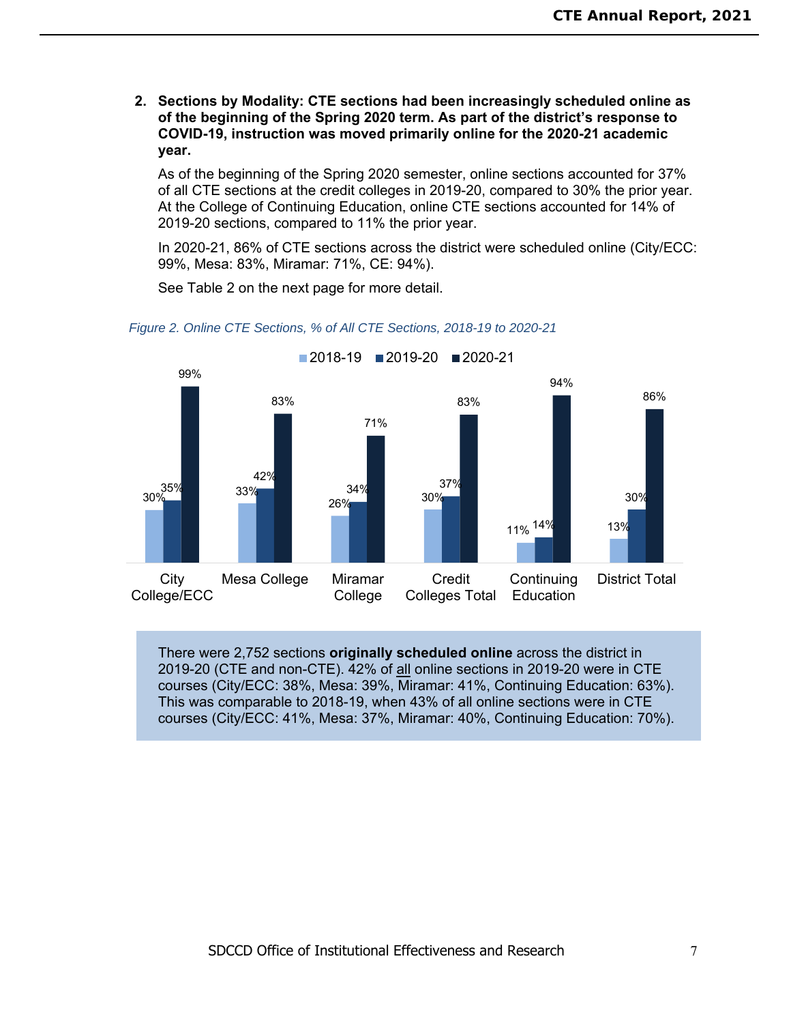**2. Sections by Modality: CTE sections had been increasingly scheduled online as of the beginning of the Spring 2020 term. As part of the district's response to COVID-19, instruction was moved primarily online for the 2020-21 academic year.** 

As of the beginning of the Spring 2020 semester, online sections accounted for 37% of all CTE sections at the credit colleges in 2019-20, compared to 30% the prior year. At the College of Continuing Education, online CTE sections accounted for 14% of 2019-20 sections, compared to 11% the prior year.

In 2020-21, 86% of CTE sections across the district were scheduled online (City/ECC: 99%, Mesa: 83%, Miramar: 71%, CE: 94%).

See Table 2 on the next page for more detail.



*Figure 2. Online CTE Sections, % of All CTE Sections, 2018-19 to 2020-21* 

There were 2,752 sections **originally scheduled online** across the district in 2019-20 (CTE and non-CTE). 42% of all online sections in 2019-20 were in CTE courses (City/ECC: 38%, Mesa: 39%, Miramar: 41%, Continuing Education: 63%). This was comparable to 2018-19, when 43% of all online sections were in CTE courses (City/ECC: 41%, Mesa: 37%, Miramar: 40%, Continuing Education: 70%).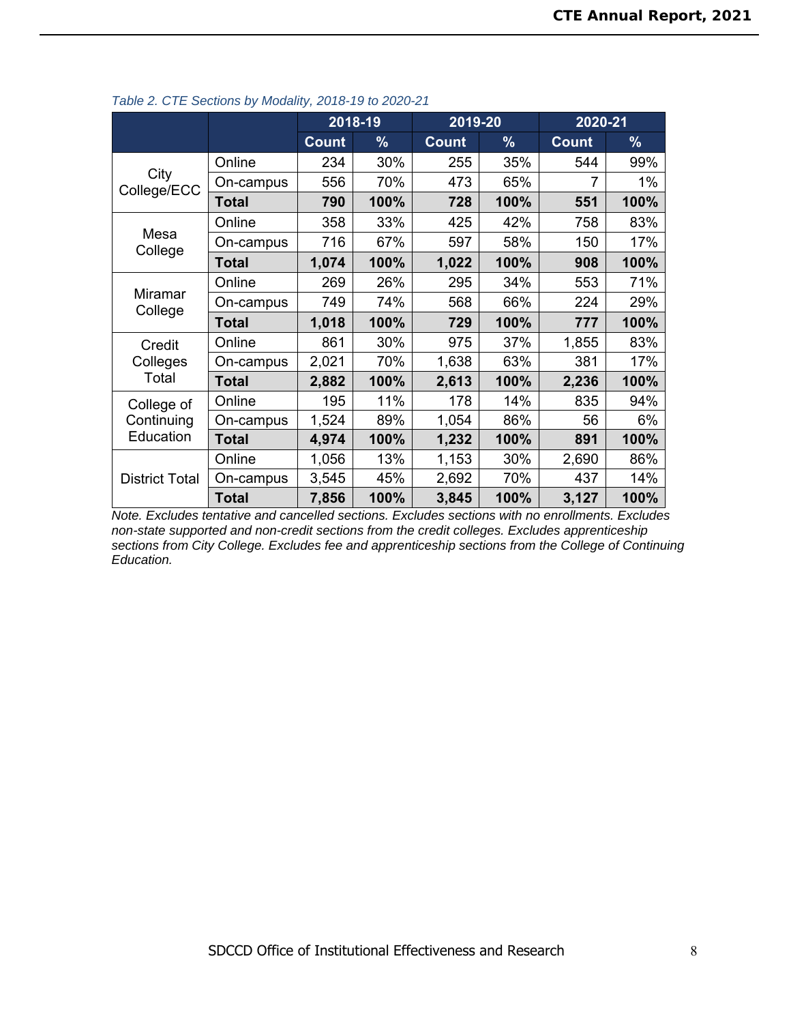|                       |              | 2018-19      |      | 2019-20      |               | 2020-21      |       |
|-----------------------|--------------|--------------|------|--------------|---------------|--------------|-------|
|                       |              | <b>Count</b> | $\%$ | <b>Count</b> | $\frac{9}{6}$ | <b>Count</b> | $\%$  |
|                       | Online       | 234          | 30%  | 255          | 35%           | 544          | 99%   |
| City<br>College/ECC   | On-campus    | 556          | 70%  | 473          | 65%           |              | $1\%$ |
|                       | Total        | 790          | 100% | 728          | 100%          | 551          | 100%  |
|                       | Online       | 358          | 33%  | 425          | 42%           | 758          | 83%   |
| Mesa<br>College       | On-campus    | 716          | 67%  | 597          | 58%           | 150          | 17%   |
|                       | Total        | 1,074        | 100% | 1,022        | 100%          | 908          | 100%  |
|                       | Online       | 269          | 26%  | 295          | 34%           | 553          | 71%   |
| Miramar<br>College    | On-campus    | 749          | 74%  | 568          | 66%           | 224          | 29%   |
|                       | <b>Total</b> | 1,018        | 100% | 729          | 100%          | 777          | 100%  |
| Credit                | Online       | 861          | 30%  | 975          | 37%           | 1,855        | 83%   |
| Colleges              | On-campus    | 2,021        | 70%  | 1,638        | 63%           | 381          | 17%   |
| Total                 | Total        | 2,882        | 100% | 2,613        | 100%          | 2,236        | 100%  |
| College of            | Online       | 195          | 11%  | 178          | 14%           | 835          | 94%   |
| Continuing            | On-campus    | 1,524        | 89%  | 1,054        | 86%           | 56           | 6%    |
| Education             | <b>Total</b> | 4,974        | 100% | 1,232        | 100%          | 891          | 100%  |
|                       | Online       | 1,056        | 13%  | 1,153        | 30%           | 2,690        | 86%   |
| <b>District Total</b> | On-campus    | 3,545        | 45%  | 2,692        | 70%           | 437          | 14%   |
|                       | Total        | 7,856        | 100% | 3,845        | 100%          | 3,127        | 100%  |

### *Table 2. CTE Sections by Modality, 2018-19 to 2020-21*

*Note. Excludes tentative and cancelled sections. Excludes sections with no enrollments. Excludes non-state supported and non-credit sections from the credit colleges. Excludes apprenticeship sections from City College. Excludes fee and apprenticeship sections from the College of Continuing Education.*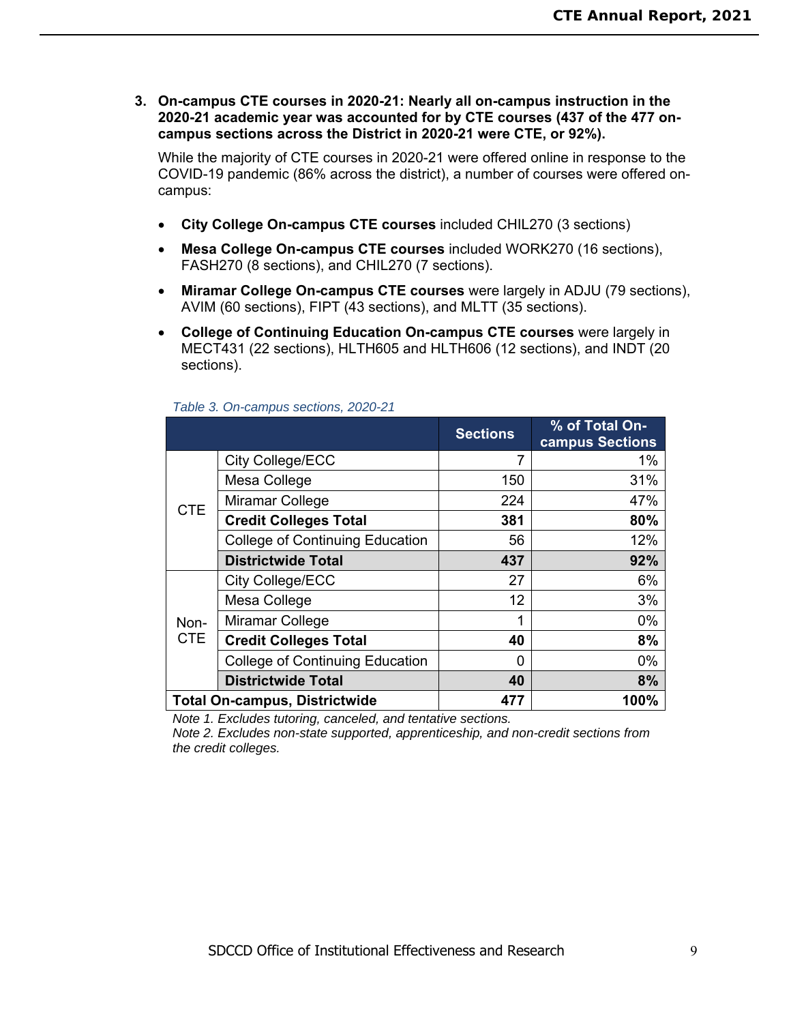**3. On-campus CTE courses in 2020-21: Nearly all on-campus instruction in the 2020-21 academic year was accounted for by CTE courses (437 of the 477 oncampus sections across the District in 2020-21 were CTE, or 92%).** 

While the majority of CTE courses in 2020-21 were offered online in response to the COVID-19 pandemic (86% across the district), a number of courses were offered oncampus:

- **City College On-campus CTE courses** included CHIL270 (3 sections)
- **Mesa College On-campus CTE courses** included WORK270 (16 sections), FASH270 (8 sections), and CHIL270 (7 sections).
- **Miramar College On-campus CTE courses** were largely in ADJU (79 sections), AVIM (60 sections), FIPT (43 sections), and MLTT (35 sections).
- **College of Continuing Education On-campus CTE courses** were largely in MECT431 (22 sections), HLTH605 and HLTH606 (12 sections), and INDT (20 sections).

|            |                                        | <b>Sections</b> | % of Total On-<br>campus Sections |
|------------|----------------------------------------|-----------------|-----------------------------------|
|            | City College/ECC                       | 7               | 1%                                |
|            | Mesa College                           | 150             | 31%                               |
| <b>CTE</b> | Miramar College                        | 224             | 47%                               |
|            | <b>Credit Colleges Total</b>           | 381             | 80%                               |
|            | <b>College of Continuing Education</b> | 56              | 12%                               |
|            | <b>Districtwide Total</b>              | 437             | 92%                               |
|            | City College/ECC                       | 27              | 6%                                |
|            | Mesa College                           | 12              | 3%                                |
| Non-       | Miramar College                        | 1               | $0\%$                             |
| <b>CTE</b> | <b>Credit Colleges Total</b>           | 40              | 8%                                |
|            | <b>College of Continuing Education</b> | 0               | 0%                                |
|            | <b>Districtwide Total</b>              | 40              | 8%                                |
|            | <b>Total On-campus, Districtwide</b>   | 477             | 100%                              |

#### *Table 3. On-campus sections, 2020-21*

*Note 1. Excludes tutoring, canceled, and tentative sections.* 

*Note 2. Excludes non-state supported, apprenticeship, and non-credit sections from the credit colleges.*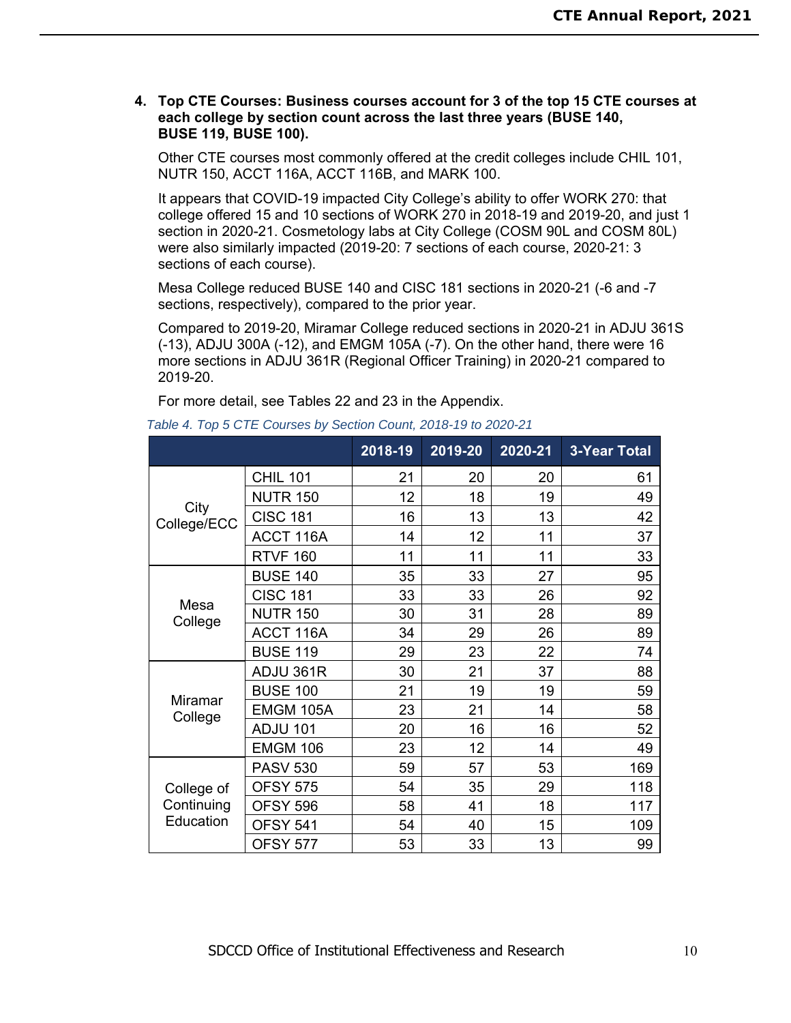### **4. Top CTE Courses: Business courses account for 3 of the top 15 CTE courses at each college by section count across the last three years (BUSE 140, BUSE 119, BUSE 100).**

Other CTE courses most commonly offered at the credit colleges include CHIL 101, NUTR 150, ACCT 116A, ACCT 116B, and MARK 100.

It appears that COVID-19 impacted City College's ability to offer WORK 270: that college offered 15 and 10 sections of WORK 270 in 2018-19 and 2019-20, and just 1 section in 2020-21. Cosmetology labs at City College (COSM 90L and COSM 80L) were also similarly impacted (2019-20: 7 sections of each course, 2020-21: 3 sections of each course).

Mesa College reduced BUSE 140 and CISC 181 sections in 2020-21 (-6 and -7 sections, respectively), compared to the prior year.

Compared to 2019-20, Miramar College reduced sections in 2020-21 in ADJU 361S (-13), ADJU 300A (-12), and EMGM 105A (-7). On the other hand, there were 16 more sections in ADJU 361R (Regional Officer Training) in 2020-21 compared to 2019-20.

|                     |                 | 2018-19 | 2019-20 | 2020-21 | <b>3-Year Total</b> |
|---------------------|-----------------|---------|---------|---------|---------------------|
|                     | <b>CHIL 101</b> | 21      | 20      | 20      | 61                  |
|                     | <b>NUTR 150</b> | 12      | 18      | 19      | 49                  |
| City<br>College/ECC | <b>CISC 181</b> | 16      | 13      | 13      | 42                  |
|                     | ACCT 116A       | 14      | 12      | 11      | 37                  |
|                     | <b>RTVF 160</b> | 11      | 11      | 11      | 33                  |
|                     | <b>BUSE 140</b> | 35      | 33      | 27      | 95                  |
| Mesa                | <b>CISC 181</b> | 33      | 33      | 26      | 92                  |
| College             | <b>NUTR 150</b> | 30      | 31      | 28      | 89                  |
|                     | ACCT 116A       | 34      | 29      | 26      | 89                  |
|                     | <b>BUSE 119</b> | 29      | 23      | 22      | 74                  |
|                     | ADJU 361R       | 30      | 21      | 37      | 88                  |
| Miramar             | <b>BUSE 100</b> | 21      | 19      | 19      | 59                  |
| College             | EMGM 105A       | 23      | 21      | 14      | 58                  |
|                     | <b>ADJU 101</b> | 20      | 16      | 16      | 52                  |
|                     | <b>EMGM 106</b> | 23      | 12      | 14      | 49                  |
|                     | <b>PASV 530</b> | 59      | 57      | 53      | 169                 |
| College of          | <b>OFSY 575</b> | 54      | 35      | 29      | 118                 |
| Continuing          | <b>OFSY 596</b> | 58      | 41      | 18      | 117                 |
| Education           | <b>OFSY 541</b> | 54      | 40      | 15      | 109                 |
|                     | <b>OFSY 577</b> | 53      | 33      | 13      | 99                  |

For more detail, see Tables 22 and 23 in the Appendix.

*Table 4. Top 5 CTE Courses by Section Count, 2018-19 to 2020-21*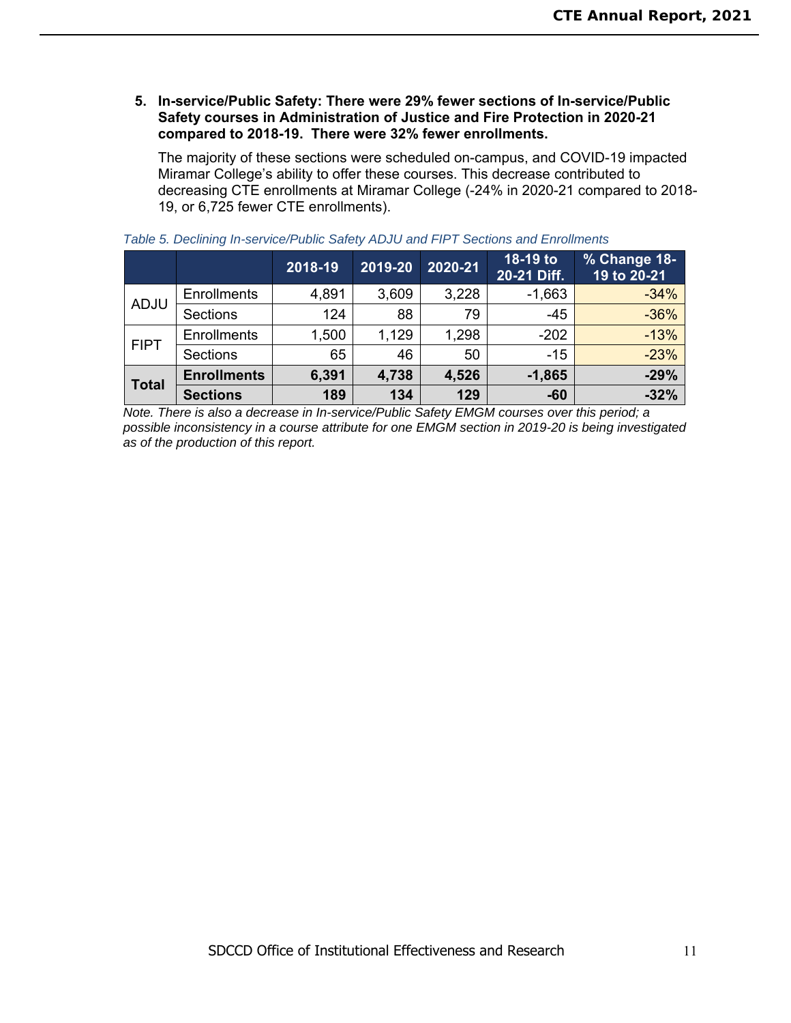### **5. In-service/Public Safety: There were 29% fewer sections of In-service/Public Safety courses in Administration of Justice and Fire Protection in 2020-21 compared to 2018-19. There were 32% fewer enrollments.**

The majority of these sections were scheduled on-campus, and COVID-19 impacted Miramar College's ability to offer these courses. This decrease contributed to decreasing CTE enrollments at Miramar College (-24% in 2020-21 compared to 2018- 19, or 6,725 fewer CTE enrollments).

|              |                    | 2018-19 | 2019-20 | 2020-21 | 18-19 to<br>20-21 Diff. | % Change 18-<br>19 to 20-21 |
|--------------|--------------------|---------|---------|---------|-------------------------|-----------------------------|
|              | <b>Enrollments</b> | 4,891   | 3,609   | 3,228   | $-1,663$                | $-34%$                      |
| <b>ADJU</b>  | Sections           | 124     | 88      | 79      | $-45$                   | $-36%$                      |
| <b>FIPT</b>  | <b>Enrollments</b> | 1,500   | 1,129   | 1,298   | $-202$                  | $-13%$                      |
|              | <b>Sections</b>    | 65      | 46      | 50      | $-15$                   | $-23%$                      |
| <b>Total</b> | <b>Enrollments</b> | 6,391   | 4,738   | 4,526   | $-1,865$                | $-29%$                      |
|              | <b>Sections</b>    | 189     | 134     | 129     | $-60$                   | $-32%$                      |

### *Table 5. Declining In-service/Public Safety ADJU and FIPT Sections and Enrollments*

*Note. There is also a decrease in In-service/Public Safety EMGM courses over this period; a possible inconsistency in a course attribute for one EMGM section in 2019-20 is being investigated as of the production of this report.*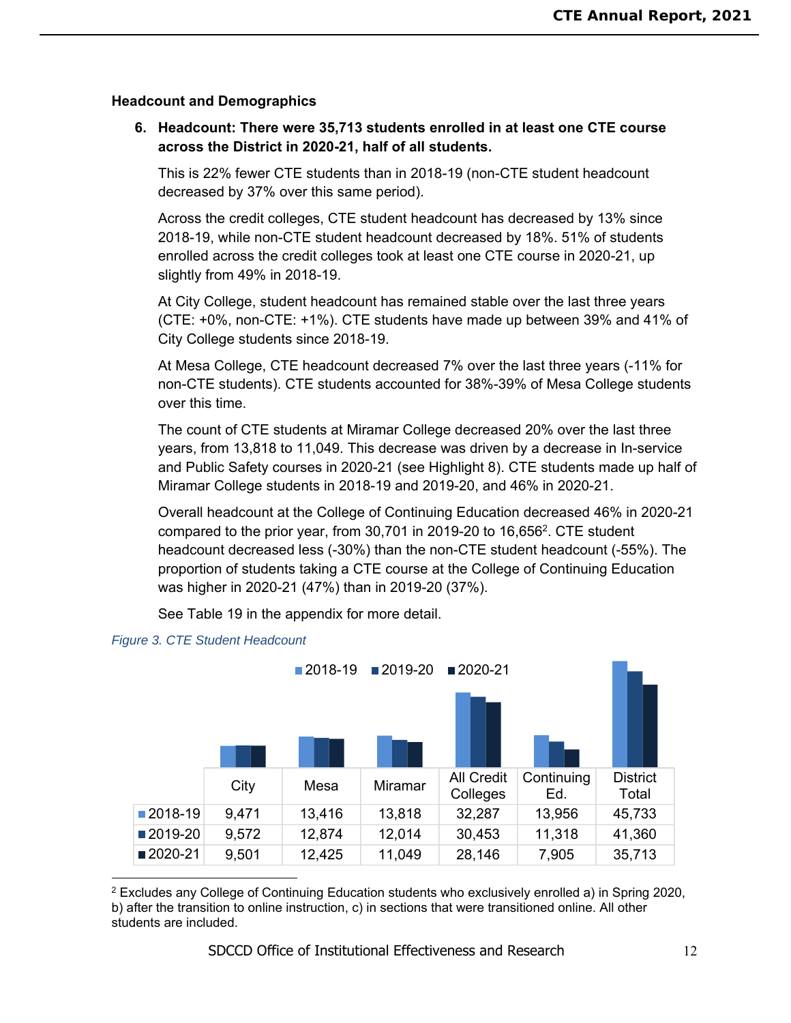### **Headcount and Demographics**

## **6. Headcount: There were 35,713 students enrolled in at least one CTE course across the District in 2020-21, half of all students.**

This is 22% fewer CTE students than in 2018-19 (non-CTE student headcount decreased by 37% over this same period).

Across the credit colleges, CTE student headcount has decreased by 13% since 2018-19, while non-CTE student headcount decreased by 18%. 51% of students enrolled across the credit colleges took at least one CTE course in 2020-21, up slightly from 49% in 2018-19.

At City College, student headcount has remained stable over the last three years (CTE: +0%, non-CTE: +1%). CTE students have made up between 39% and 41% of City College students since 2018-19.

At Mesa College, CTE headcount decreased 7% over the last three years (-11% for non-CTE students). CTE students accounted for 38%-39% of Mesa College students over this time.

The count of CTE students at Miramar College decreased 20% over the last three years, from 13,818 to 11,049. This decrease was driven by a decrease in In-service and Public Safety courses in 2020-21 (see Highlight 8). CTE students made up half of Miramar College students in 2018-19 and 2019-20, and 46% in 2020-21.

Overall headcount at the College of Continuing Education decreased 46% in 2020-21 compared to the prior year, from 30,701 in 2019-20 to 16,6562. CTE student headcount decreased less (-30%) than the non-CTE student headcount (-55%). The proportion of students taking a CTE course at the College of Continuing Education was higher in 2020-21 (47%) than in 2019-20 (37%).

See Table 19 in the appendix for more detail.



### *Figure 3. CTE Student Headcount*

<sup>2</sup> Excludes any College of Continuing Education students who exclusively enrolled a) in Spring 2020, b) after the transition to online instruction, c) in sections that were transitioned online. All other students are included.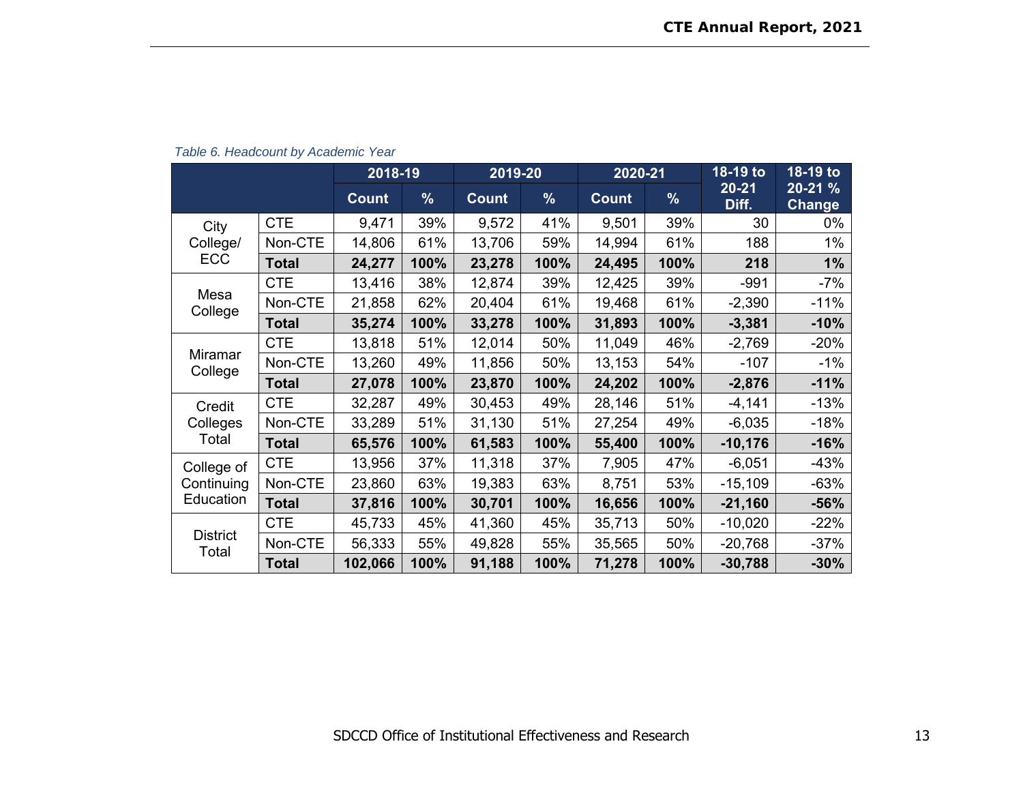|                          |              | 2018-19      |               | 2019-20      |               | 2020-21      |               | 18-19 to           | 18-19 to                    |
|--------------------------|--------------|--------------|---------------|--------------|---------------|--------------|---------------|--------------------|-----------------------------|
|                          |              | <b>Count</b> | $\frac{9}{6}$ | <b>Count</b> | $\frac{9}{6}$ | <b>Count</b> | $\frac{9}{6}$ | $20 - 21$<br>Diff. | $20 - 21%$<br><b>Change</b> |
| City                     | <b>CTE</b>   | 9,471        | 39%           | 9,572        | 41%           | 9,501        | 39%           | 30                 | 0%                          |
| College/                 | Non-CTE      | 14,806       | 61%           | 13,706       | 59%           | 14,994       | 61%           | 188                | 1%                          |
| <b>ECC</b>               | Total        | 24,277       | 100%          | 23,278       | 100%          | 24,495       | 100%          | 218                | 1%                          |
|                          | <b>CTE</b>   | 13,416       | 38%           | 12,874       | 39%           | 12,425       | 39%           | $-991$             | $-7%$                       |
| Mesa<br>College          | Non-CTE      | 21,858       | 62%           | 20,404       | 61%           | 19,468       | 61%           | $-2,390$           | $-11%$                      |
|                          | <b>Total</b> | 35,274       | 100%          | 33,278       | 100%          | 31,893       | 100%          | $-3,381$           | $-10%$                      |
|                          | <b>CTE</b>   | 13,818       | 51%           | 12,014       | 50%           | 11,049       | 46%           | $-2,769$           | $-20%$                      |
| Miramar<br>College       | Non-CTE      | 13,260       | 49%           | 11,856       | 50%           | 13,153       | 54%           | $-107$             | $-1\%$                      |
|                          | <b>Total</b> | 27,078       | 100%          | 23,870       | 100%          | 24,202       | 100%          | $-2,876$           | $-11%$                      |
| Credit                   | <b>CTE</b>   | 32,287       | 49%           | 30,453       | 49%           | 28,146       | 51%           | $-4,141$           | $-13%$                      |
| Colleges                 | Non-CTE      | 33,289       | 51%           | 31,130       | 51%           | 27,254       | 49%           | $-6,035$           | $-18%$                      |
| Total                    | <b>Total</b> | 65,576       | 100%          | 61,583       | 100%          | 55,400       | 100%          | $-10,176$          | $-16%$                      |
| College of               | <b>CTE</b>   | 13,956       | 37%           | 11,318       | 37%           | 7,905        | 47%           | $-6,051$           | $-43%$                      |
| Continuing               | Non-CTE      | 23,860       | 63%           | 19,383       | 63%           | 8,751        | 53%           | $-15,109$          | $-63%$                      |
| Education                | <b>Total</b> | 37,816       | 100%          | 30,701       | 100%          | 16,656       | 100%          | $-21,160$          | $-56%$                      |
|                          | <b>CTE</b>   | 45,733       | 45%           | 41,360       | 45%           | 35,713       | 50%           | $-10,020$          | $-22%$                      |
| <b>District</b><br>Total | Non-CTE      | 56,333       | 55%           | 49,828       | 55%           | 35,565       | 50%           | $-20,768$          | $-37%$                      |
|                          | <b>Total</b> | 102,066      | 100%          | 91,188       | 100%          | 71,278       | 100%          | $-30,788$          | $-30%$                      |

*Table 6. Headcount by Academic Year*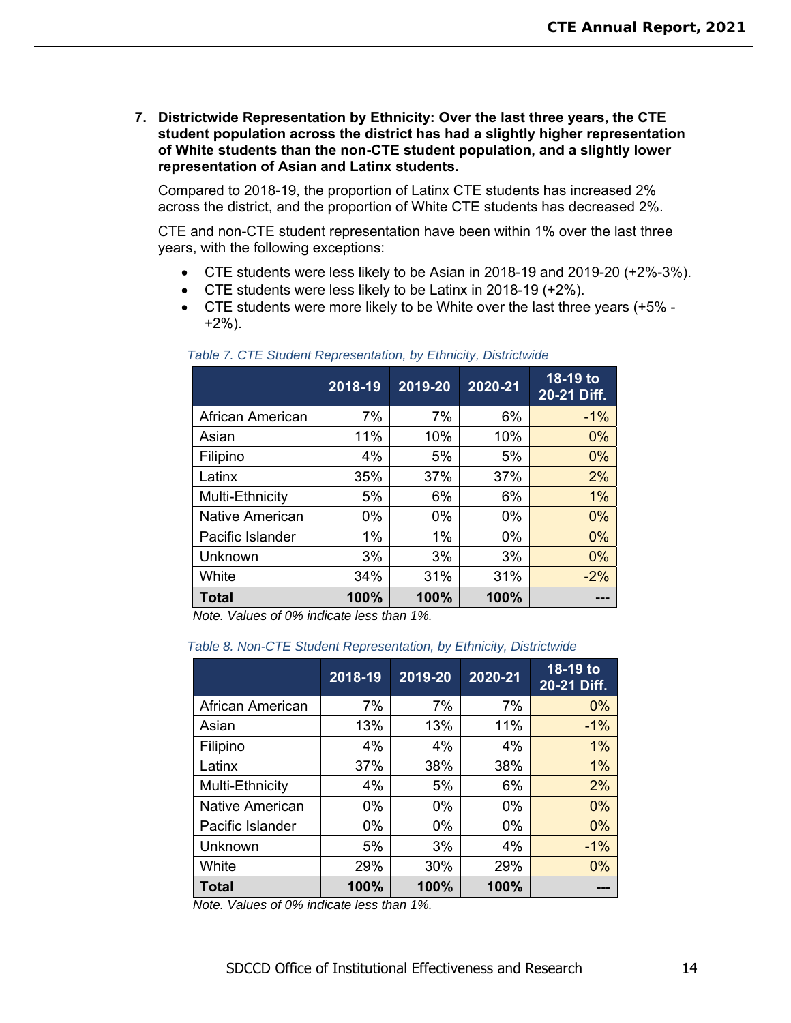**7. Districtwide Representation by Ethnicity: Over the last three years, the CTE student population across the district has had a slightly higher representation of White students than the non-CTE student population, and a slightly lower representation of Asian and Latinx students.** 

Compared to 2018-19, the proportion of Latinx CTE students has increased 2% across the district, and the proportion of White CTE students has decreased 2%.

CTE and non-CTE student representation have been within 1% over the last three years, with the following exceptions:

- CTE students were less likely to be Asian in 2018-19 and 2019-20 (+2%-3%).
- CTE students were less likely to be Latinx in 2018-19 (+2%).
- CTE students were more likely to be White over the last three years (+5% +2%).

|                        | 2018-19 | 2019-20 | 2020-21 | 18-19 to<br>20-21 Diff. |
|------------------------|---------|---------|---------|-------------------------|
| African American       | 7%      | 7%      | 6%      | $-1%$                   |
| Asian                  | 11%     | 10%     | 10%     | 0%                      |
| Filipino               | 4%      | 5%      | 5%      | 0%                      |
| Latinx                 | 35%     | 37%     | 37%     | 2%                      |
| Multi-Ethnicity        | 5%      | 6%      | 6%      | 1%                      |
| <b>Native American</b> | 0%      | $0\%$   | $0\%$   | 0%                      |
| Pacific Islander       | $1\%$   | 1%      | 0%      | 0%                      |
| Unknown                | 3%      | 3%      | 3%      | 0%                      |
| White                  | 34%     | 31%     | 31%     | $-2%$                   |
| <b>Total</b>           | 100%    | 100%    | 100%    |                         |

### *Table 7. CTE Student Representation, by Ethnicity, Districtwide*

*Note. Values of 0% indicate less than 1%.* 

| Table 8. Non-CTE Student Representation, by Ethnicity, Districtwide |  |
|---------------------------------------------------------------------|--|
|---------------------------------------------------------------------|--|

|                  | 2018-19 | 2019-20 | 2020-21 | 18-19 to<br>20-21 Diff. |
|------------------|---------|---------|---------|-------------------------|
| African American | 7%      | 7%      | 7%      | $0\%$                   |
| Asian            | 13%     | 13%     | 11%     | $-1%$                   |
| Filipino         | 4%      | 4%      | 4%      | $1\%$                   |
| Latinx           | 37%     | 38%     | 38%     | $1\%$                   |
| Multi-Ethnicity  | 4%      | 5%      | 6%      | 2%                      |
| Native American  | $0\%$   | $0\%$   | $0\%$   | 0%                      |
| Pacific Islander | $0\%$   | $0\%$   | $0\%$   | 0%                      |
| Unknown          | 5%      | 3%      | 4%      | $-1%$                   |
| White            | 29%     | 30%     | 29%     | $0\%$                   |
| <b>Total</b>     | 100%    | 100%    | 100%    |                         |

*Note. Values of 0% indicate less than 1%.*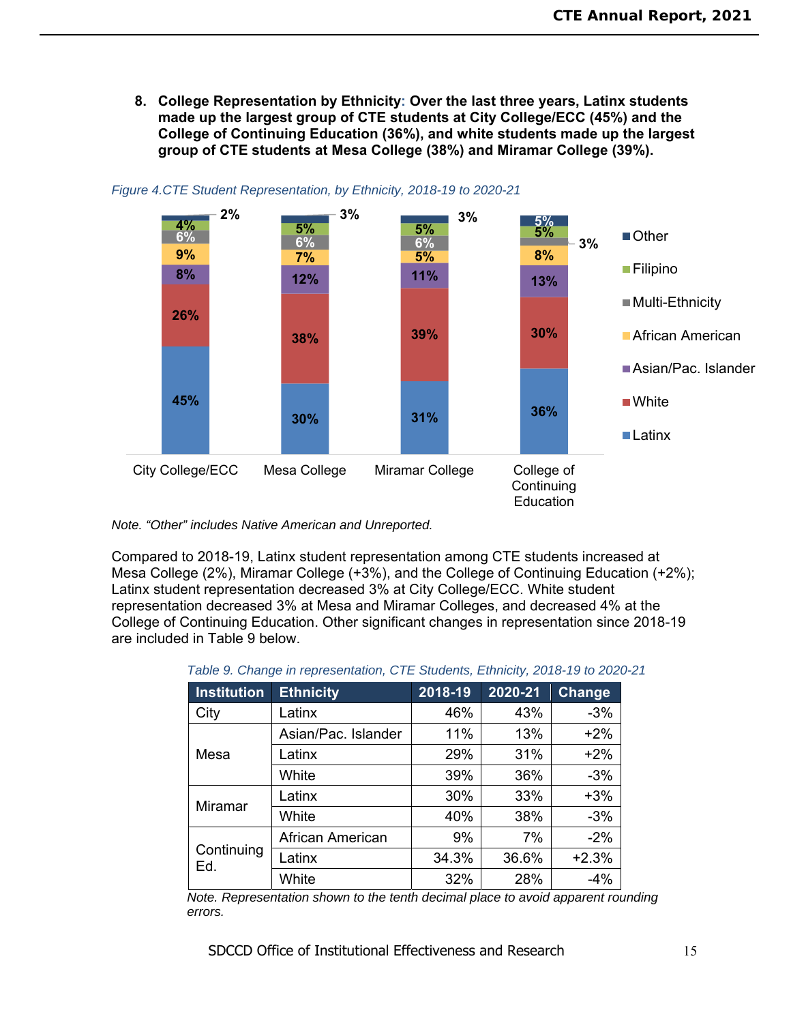**8. College Representation by Ethnicity: Over the last three years, Latinx students made up the largest group of CTE students at City College/ECC (45%) and the College of Continuing Education (36%), and white students made up the largest group of CTE students at Mesa College (38%) and Miramar College (39%).** 



### *Figure 4.CTE Student Representation, by Ethnicity, 2018-19 to 2020-21*

*Note. "Other" includes Native American and Unreported.* 

Compared to 2018-19, Latinx student representation among CTE students increased at Mesa College (2%), Miramar College (+3%), and the College of Continuing Education (+2%); Latinx student representation decreased 3% at City College/ECC. White student representation decreased 3% at Mesa and Miramar Colleges, and decreased 4% at the College of Continuing Education. Other significant changes in representation since 2018-19 are included in Table 9 below.

|  | Table 9. Change in representation, CTE Students, Ethnicity, 2018-19 to 2020-21 |  |  |  |
|--|--------------------------------------------------------------------------------|--|--|--|
|  |                                                                                |  |  |  |

| <b>Institution</b> | <b>Ethnicity</b>                 | 2018-19      | 2020-21 | <b>Change</b> |
|--------------------|----------------------------------|--------------|---------|---------------|
| City               | Latinx                           | 46%          | 43%     | $-3%$         |
|                    | Asian/Pac. Islander              | 11%          | 13%     | $+2%$         |
| Mesa               | Latinx                           | 29%          | 31%     | $+2%$         |
|                    | 39%<br>White<br>30%<br>40%<br>9% | 36%          | $-3%$   |               |
| Miramar            | Latinx                           |              | 33%     | $+3%$         |
|                    | White                            | 34.3%<br>32% | 38%     | $-3%$         |
|                    | African American                 |              | 7%      | $-2%$         |
| Continuing<br>Ed.  | Latinx                           |              | 36.6%   | $+2.3%$       |
|                    | White                            |              | 28%     | $-4%$         |

*Note. Representation shown to the tenth decimal place to avoid apparent rounding errors.* 

SDCCD Office of Institutional Effectiveness and Research 15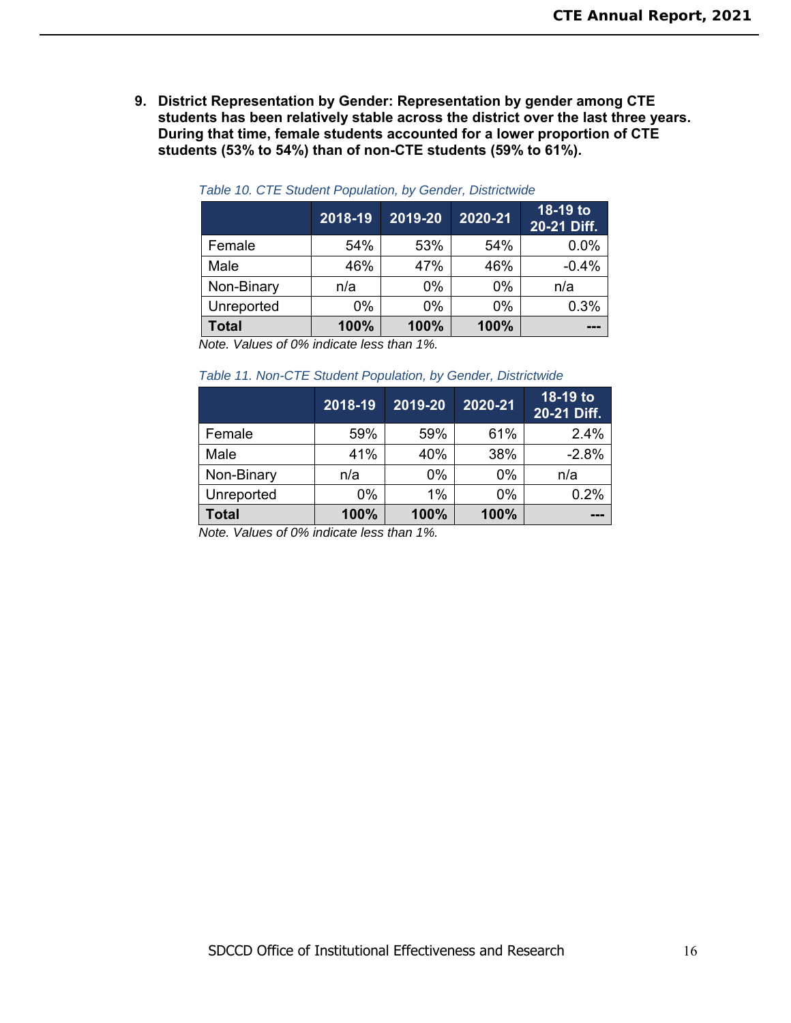**9. District Representation by Gender: Representation by gender among CTE students has been relatively stable across the district over the last three years. During that time, female students accounted for a lower proportion of CTE students (53% to 54%) than of non-CTE students (59% to 61%).** 

|              | 2018-19 | 2019-20 | 2020-21 | 18-19 to<br>20-21 Diff. |
|--------------|---------|---------|---------|-------------------------|
| Female       | 54%     | 53%     | 54%     | 0.0%                    |
| Male         | 46%     | 47%     | 46%     | $-0.4%$                 |
| Non-Binary   | n/a     | 0%      | $0\%$   | n/a                     |
| Unreported   | $0\%$   | 0%      | $0\%$   | 0.3%                    |
| <b>Total</b> | 100%    | 100%    | 100%    | ---                     |

#### *Table 10. CTE Student Population, by Gender, Districtwide*

*Note. Values of 0% indicate less than 1%.* 

#### *Table 11. Non-CTE Student Population, by Gender, Districtwide*

|              | 2018-19 | 2019-20 | 2020-21 | 18-19 to<br>20-21 Diff. |
|--------------|---------|---------|---------|-------------------------|
| Female       | 59%     | 59%     | 61%     | 2.4%                    |
| Male         | 41%     | 40%     | 38%     | $-2.8%$                 |
| Non-Binary   | n/a     | 0%      | $0\%$   | n/a                     |
| Unreported   | $0\%$   | 1%      | $0\%$   | 0.2%                    |
| <b>Total</b> | 100%    | 100%    | 100%    | ---                     |

*Note. Values of 0% indicate less than 1%.*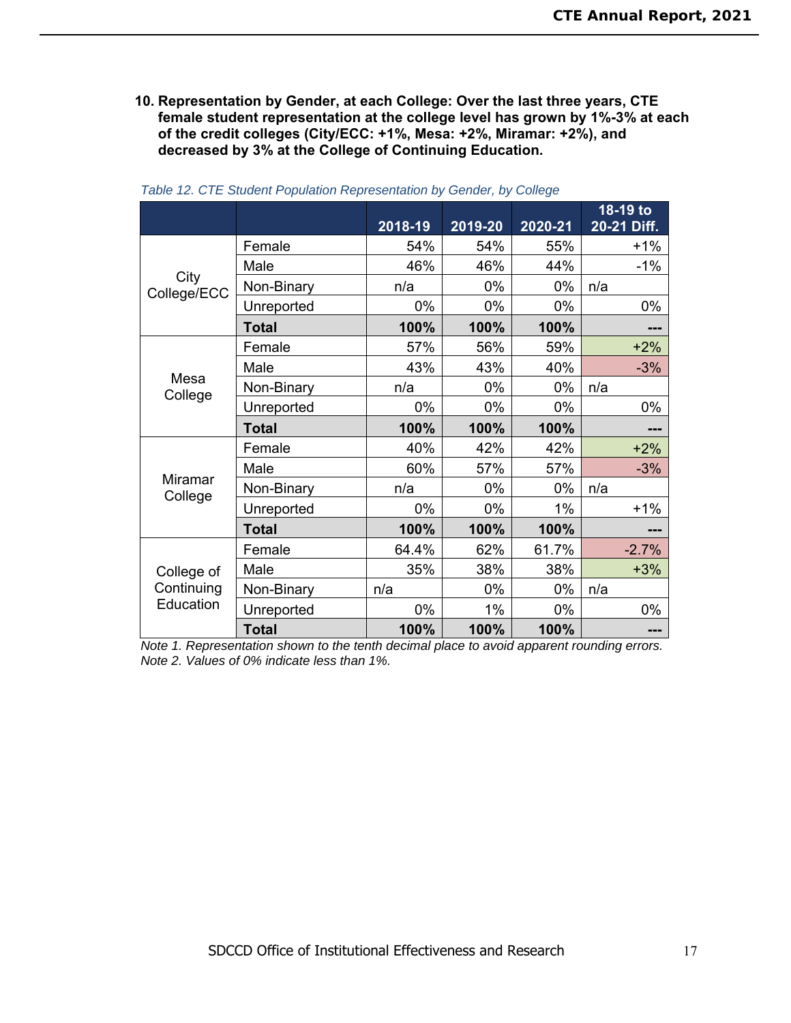**10. Representation by Gender, at each College: Over the last three years, CTE female student representation at the college level has grown by 1%-3% at each of the credit colleges (City/ECC: +1%, Mesa: +2%, Miramar: +2%), and decreased by 3% at the College of Continuing Education.**

|                     |              |         |         |         | 18-19 to    |
|---------------------|--------------|---------|---------|---------|-------------|
|                     |              | 2018-19 | 2019-20 | 2020-21 | 20-21 Diff. |
| City<br>College/ECC | Female       | 54%     | 54%     | 55%     | $+1%$       |
|                     | Male         | 46%     | 46%     | 44%     | $-1\%$      |
|                     | Non-Binary   | n/a     | 0%      | 0%      | n/a         |
|                     | Unreported   | 0%      | 0%      | 0%      | 0%          |
|                     | <b>Total</b> | 100%    | 100%    | 100%    |             |
|                     | Female       | 57%     | 56%     | 59%     | $+2%$       |
|                     | Male         | 43%     | 43%     | 40%     | $-3%$       |
| Mesa<br>College     | Non-Binary   | n/a     | 0%      | 0%      | n/a         |
|                     | Unreported   | 0%      | 0%      | 0%      | 0%          |
|                     | <b>Total</b> | 100%    | 100%    | 100%    | ---         |
|                     | Female       | 40%     | 42%     | 42%     | $+2%$       |
|                     | Male         | 60%     | 57%     | 57%     | $-3%$       |
| Miramar<br>College  | Non-Binary   | n/a     | 0%      | $0\%$   | n/a         |
|                     | Unreported   | 0%      | 0%      | 1%      | $+1%$       |
|                     | <b>Total</b> | 100%    | 100%    | 100%    | ---         |
|                     | Female       | 64.4%   | 62%     | 61.7%   | $-2.7%$     |
| College of          | Male         | 35%     | 38%     | 38%     | $+3%$       |
| Continuing          | Non-Binary   | n/a     | 0%      | 0%      | n/a         |
| Education           | Unreported   | $0\%$   | $1\%$   | 0%      | 0%          |
|                     | <b>Total</b> | 100%    | 100%    | 100%    | ---         |

| Table 12. CTE Student Population Representation by Gender, by College |  |  |  |  |  |  |
|-----------------------------------------------------------------------|--|--|--|--|--|--|
|-----------------------------------------------------------------------|--|--|--|--|--|--|

*Note 1. Representation shown to the tenth decimal place to avoid apparent rounding errors. Note 2. Values of 0% indicate less than 1%.*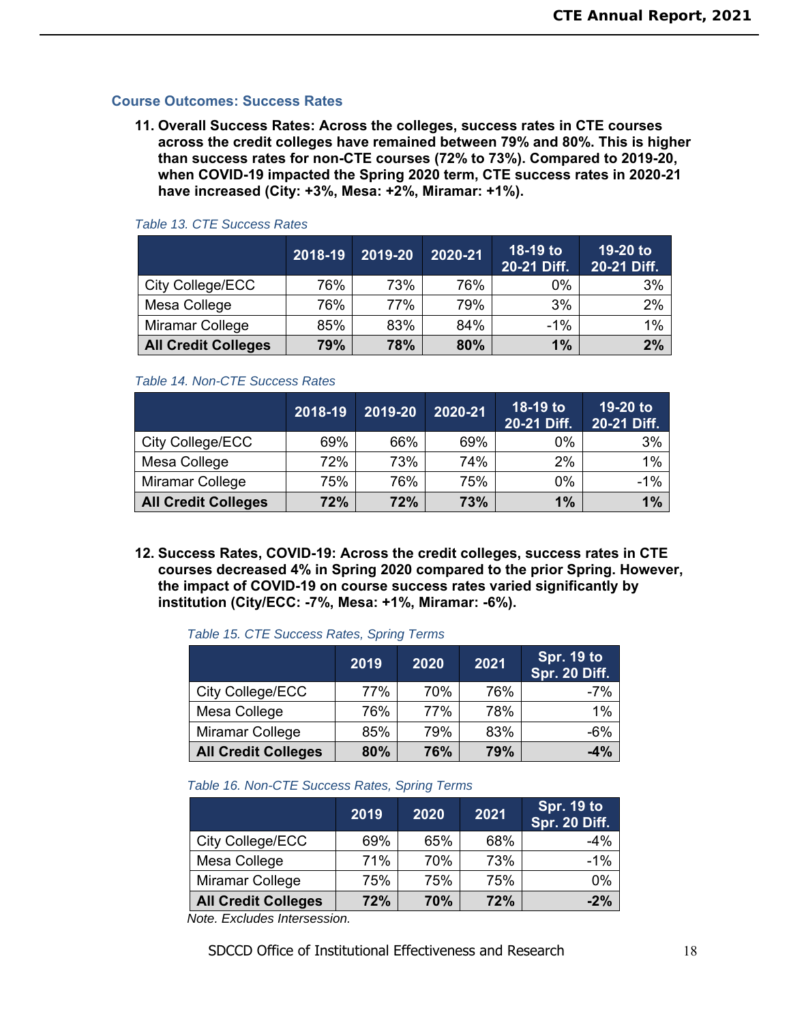### **Course Outcomes: Success Rates**

**11. Overall Success Rates: Across the colleges, success rates in CTE courses across the credit colleges have remained between 79% and 80%. This is higher than success rates for non-CTE courses (72% to 73%). Compared to 2019-20, when COVID-19 impacted the Spring 2020 term, CTE success rates in 2020-21 have increased (City: +3%, Mesa: +2%, Miramar: +1%).** 

|                            | 2018-19 | 2019-20 | 2020-21 | 18-19 to<br>20-21 Diff. | 19-20 to<br>20-21 Diff. |
|----------------------------|---------|---------|---------|-------------------------|-------------------------|
| City College/ECC           | 76%     | 73%     | 76%     | $0\%$                   | 3%                      |
| Mesa College               | 76%     | 77%     | 79%     | 3%                      | 2%                      |
| Miramar College            | 85%     | 83%     | 84%     | $-1\%$                  | 1%                      |
| <b>All Credit Colleges</b> | 79%     | 78%     | 80%     | 1%                      | 2%                      |

#### *Table 13. CTE Success Rates*

#### *Table 14. Non-CTE Success Rates*

|                            | 2018-19 | 2019-20 | 2020-21 | 18-19 to<br>20-21 Diff. | 19-20 to<br>20-21 Diff. |
|----------------------------|---------|---------|---------|-------------------------|-------------------------|
| City College/ECC           | 69%     | 66%     | 69%     | 0%                      | 3%                      |
| Mesa College               | 72%     | 73%     | 74%     | 2%                      | 1%                      |
| Miramar College            | 75%     | 76%     | 75%     | 0%                      | $-1%$                   |
| <b>All Credit Colleges</b> | 72%     | 72%     | 73%     | $1\%$                   | 1%                      |

**12. Success Rates, COVID-19: Across the credit colleges, success rates in CTE courses decreased 4% in Spring 2020 compared to the prior Spring. However, the impact of COVID-19 on course success rates varied significantly by institution (City/ECC: -7%, Mesa: +1%, Miramar: -6%).** 

#### *Table 15. CTE Success Rates, Spring Terms*

|                            | 2019 | 2020 | 2021 | Spr. 19 to<br><b>Spr. 20 Diff.</b> |
|----------------------------|------|------|------|------------------------------------|
| City College/ECC           | 77%  | 70%  | 76%  | $-7%$                              |
| Mesa College               | 76%  | 77%  | 78%  | 1%                                 |
| Miramar College            | 85%  | 79%  | 83%  | $-6%$                              |
| <b>All Credit Colleges</b> | 80%  | 76%  | 79%  | $-4%$                              |

#### *Table 16. Non-CTE Success Rates, Spring Terms*

|                            | 2019 | 2020 | 2021 | <b>Spr. 19 to</b><br>Spr. 20 Diff. |
|----------------------------|------|------|------|------------------------------------|
| City College/ECC           | 69%  | 65%  | 68%  | $-4%$                              |
| Mesa College               | 71%  | 70%  | 73%  | $-1%$                              |
| Miramar College            | 75%  | 75%  | 75%  | 0%                                 |
| <b>All Credit Colleges</b> | 72%  | 70%  | 72%  | $-2%$                              |

*Note. Excludes Intersession.*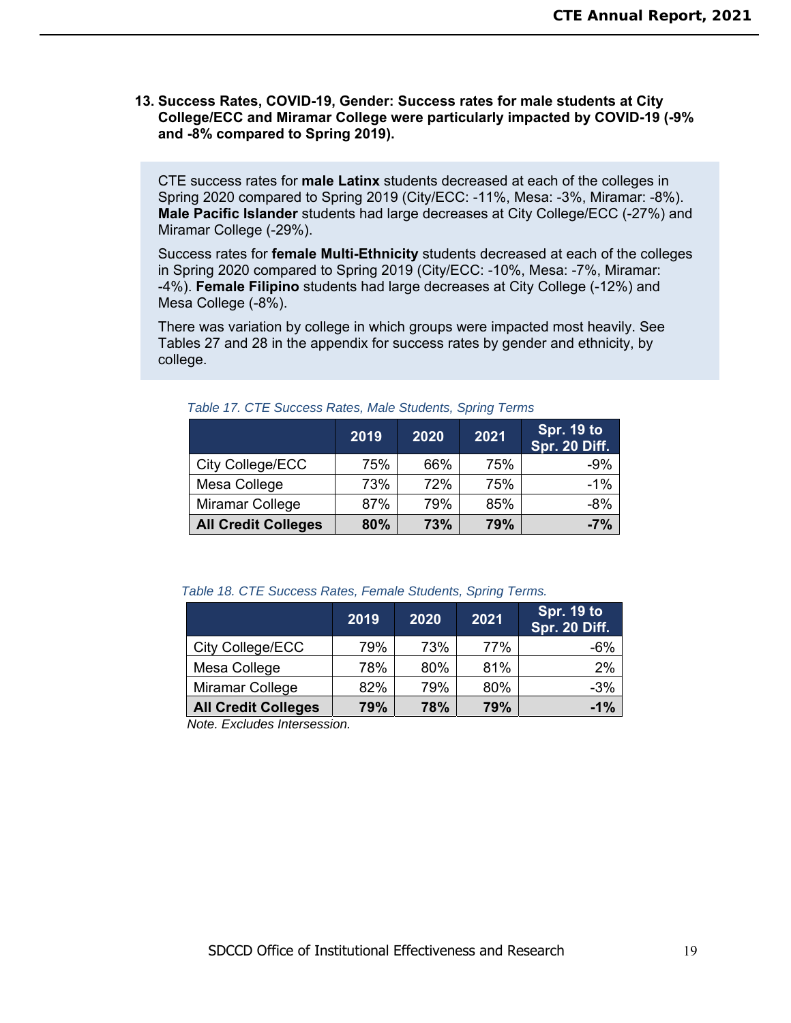### **13. Success Rates, COVID-19, Gender: Success rates for male students at City College/ECC and Miramar College were particularly impacted by COVID-19 (-9% and -8% compared to Spring 2019).**

CTE success rates for **male Latinx** students decreased at each of the colleges in Spring 2020 compared to Spring 2019 (City/ECC: -11%, Mesa: -3%, Miramar: -8%). **Male Pacific Islander** students had large decreases at City College/ECC (-27%) and Miramar College (-29%).

Success rates for **female Multi-Ethnicity** students decreased at each of the colleges in Spring 2020 compared to Spring 2019 (City/ECC: -10%, Mesa: -7%, Miramar: -4%). **Female Filipino** students had large decreases at City College (-12%) and Mesa College (-8%).

There was variation by college in which groups were impacted most heavily. See Tables 27 and 28 in the appendix for success rates by gender and ethnicity, by college.

|                            | 2019 | 2020 | 2021 | Spr. 19 to<br><b>Spr. 20 Diff.</b> |
|----------------------------|------|------|------|------------------------------------|
| City College/ECC           | 75%  | 66%  | 75%  | $-9%$                              |
| Mesa College               | 73%  | 72%  | 75%  | $-1%$                              |
| <b>Miramar College</b>     | 87%  | 79%  | 85%  | $-8%$                              |
| <b>All Credit Colleges</b> | 80%  | 73%  | 79%  | $-7%$                              |

*Table 17. CTE Success Rates, Male Students, Spring Terms* 

| Table 18. CTE Success Rates, Female Students, Spring Terms. |  |  |  |  |  |  |
|-------------------------------------------------------------|--|--|--|--|--|--|
|-------------------------------------------------------------|--|--|--|--|--|--|

|                            | 2019 | 2020 | 2021 | Spr. 19 to<br><b>Spr. 20 Diff.</b> |
|----------------------------|------|------|------|------------------------------------|
| City College/ECC           | 79%  | 73%  | 77%  | $-6%$                              |
| Mesa College               | 78%  | 80%  | 81%  | 2%                                 |
| Miramar College            | 82%  | 79%  | 80%  | $-3%$                              |
| <b>All Credit Colleges</b> | 79%  | 78%  | 79%  | $-1%$                              |

*Note. Excludes Intersession.*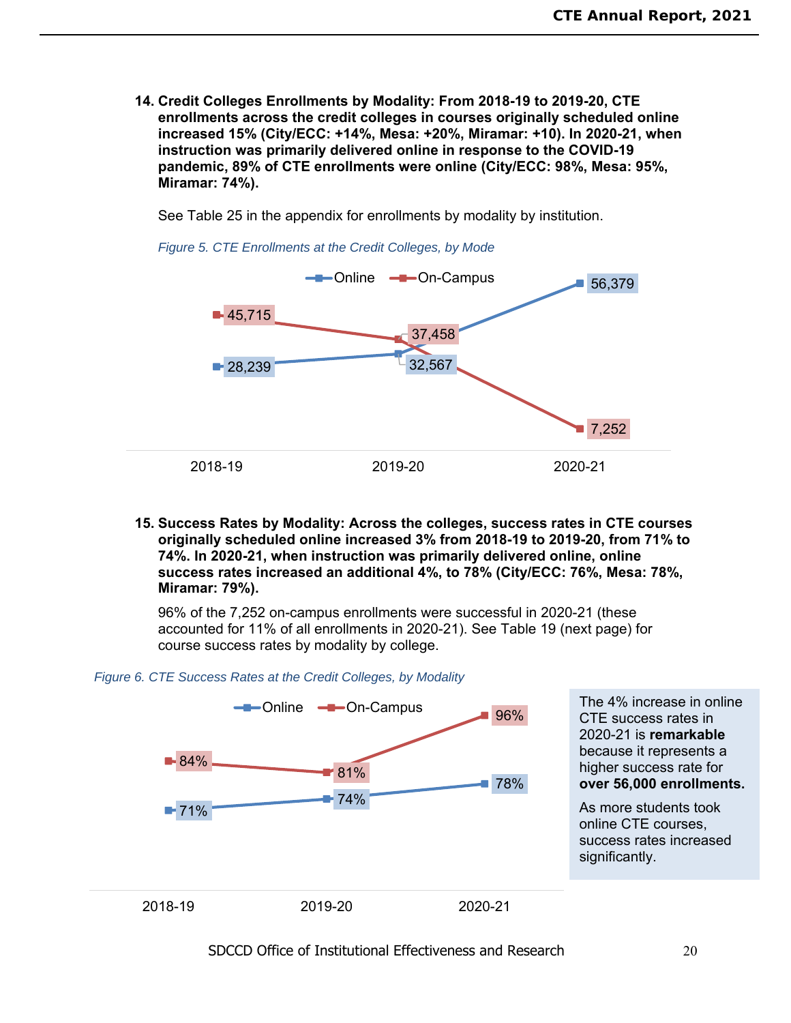**14. Credit Colleges Enrollments by Modality: From 2018-19 to 2019-20, CTE enrollments across the credit colleges in courses originally scheduled online increased 15% (City/ECC: +14%, Mesa: +20%, Miramar: +10). In 2020-21, when instruction was primarily delivered online in response to the COVID-19 pandemic, 89% of CTE enrollments were online (City/ECC: 98%, Mesa: 95%, Miramar: 74%).** 

See Table 25 in the appendix for enrollments by modality by institution.

*Figure 5. CTE Enrollments at the Credit Colleges, by Mode* 



**15. Success Rates by Modality: Across the colleges, success rates in CTE courses originally scheduled online increased 3% from 2018-19 to 2019-20, from 71% to 74%. In 2020-21, when instruction was primarily delivered online, online success rates increased an additional 4%, to 78% (City/ECC: 76%, Mesa: 78%, Miramar: 79%).** 

96% of the 7,252 on-campus enrollments were successful in 2020-21 (these accounted for 11% of all enrollments in 2020-21). See Table 19 (next page) for course success rates by modality by college.

#### *Figure 6. CTE Success Rates at the Credit Colleges, by Modality*

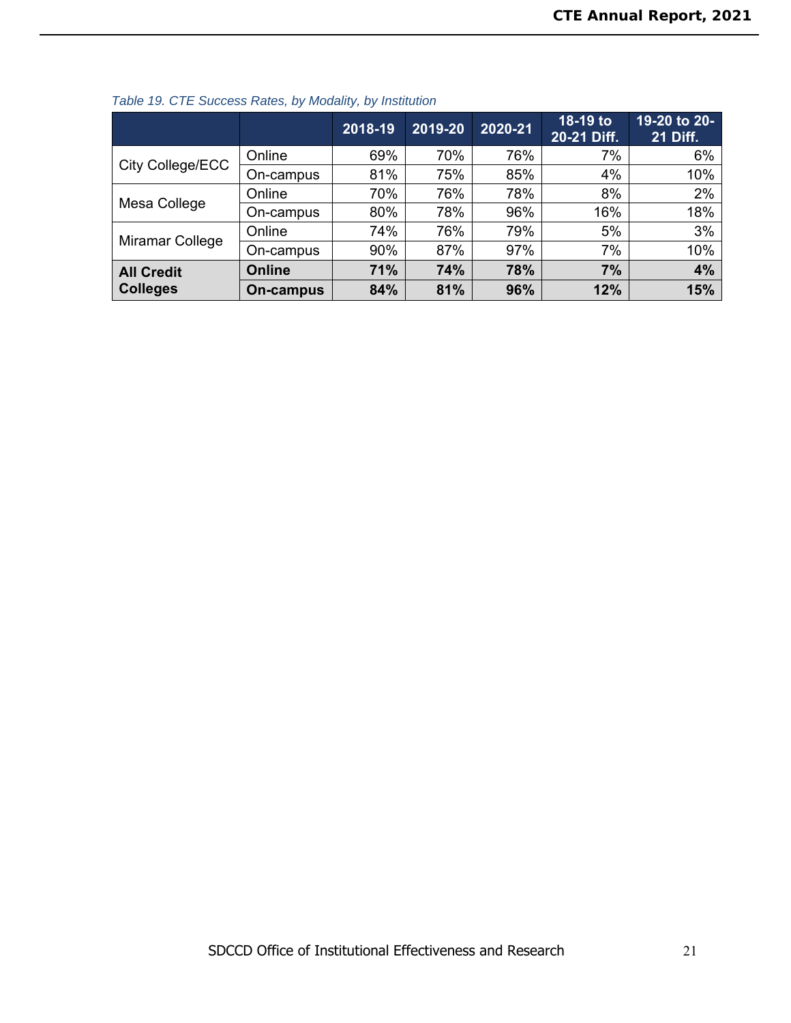|                   |           | 2018-19 | 2019-20 | 2020-21 | 18-19 to<br>20-21 Diff. | 19-20 to 20-<br><b>21 Diff.</b> |
|-------------------|-----------|---------|---------|---------|-------------------------|---------------------------------|
|                   | Online    | 69%     | 70%     | 76%     | 7%                      | 6%                              |
| City College/ECC  | On-campus | 81%     | 75%     | 85%     | 4%                      | 10%                             |
|                   | Online    | 70%     | 76%     | 78%     | 8%                      | 2%                              |
| Mesa College      | On-campus | 80%     | 78%     | 96%     | 16%                     | 18%                             |
|                   | Online    | 74%     | 76%     | 79%     | 5%                      | 3%                              |
| Miramar College   | On-campus | 90%     | 87%     | 97%     | 7%                      | 10%                             |
| <b>All Credit</b> | Online    | 71%     | 74%     | 78%     | 7%                      | 4%                              |
| <b>Colleges</b>   | On-campus | 84%     | 81%     | 96%     | 12%                     | 15%                             |

### *Table 19. CTE Success Rates, by Modality, by Institution*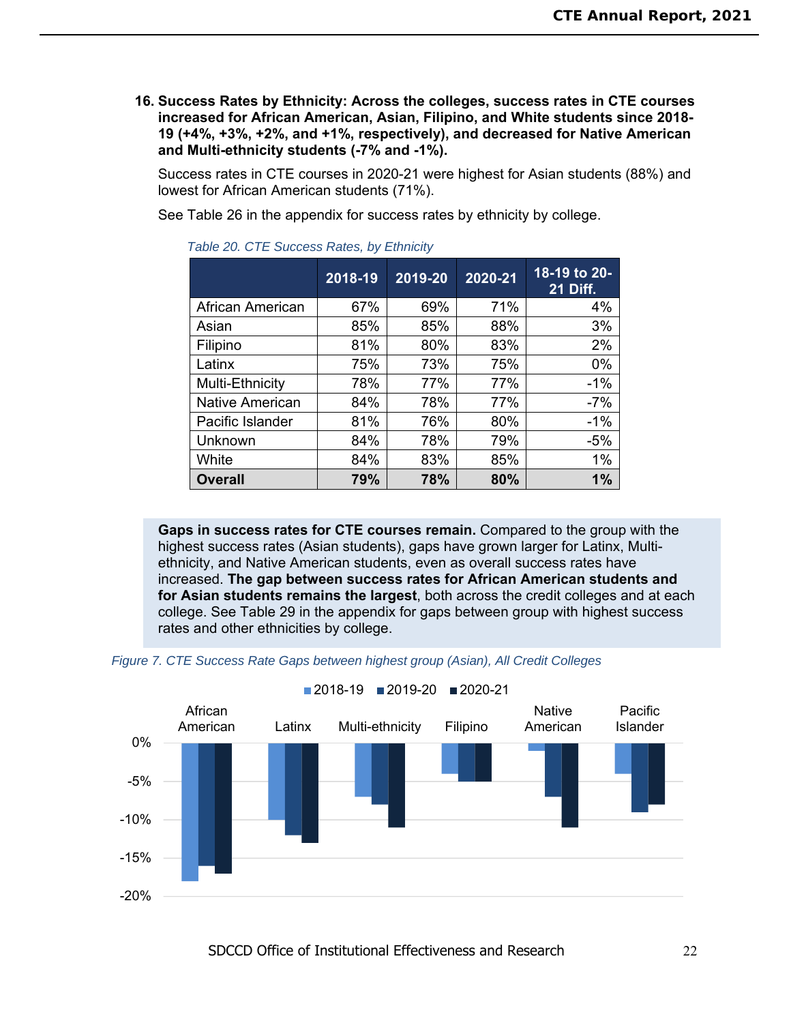**16. Success Rates by Ethnicity: Across the colleges, success rates in CTE courses increased for African American, Asian, Filipino, and White students since 2018- 19 (+4%, +3%, +2%, and +1%, respectively), and decreased for Native American and Multi-ethnicity students (-7% and -1%).** 

Success rates in CTE courses in 2020-21 were highest for Asian students (88%) and lowest for African American students (71%).

See Table 26 in the appendix for success rates by ethnicity by college.

|                  | 2018-19 | 2019-20 | 2020-21 | 18-19 to 20-<br><b>21 Diff.</b> |
|------------------|---------|---------|---------|---------------------------------|
| African American | 67%     | 69%     | 71%     | 4%                              |
| Asian            | 85%     | 85%     | 88%     | 3%                              |
| Filipino         | 81%     | 80%     | 83%     | 2%                              |
| Latinx           | 75%     | 73%     | 75%     | 0%                              |
| Multi-Ethnicity  | 78%     | 77%     | 77%     | $-1%$                           |
| Native American  | 84%     | 78%     | 77%     | $-7%$                           |
| Pacific Islander | 81%     | 76%     | 80%     | $-1%$                           |
| Unknown          | 84%     | 78%     | 79%     | $-5%$                           |
| White            | 84%     | 83%     | 85%     | 1%                              |
| <b>Overall</b>   | 79%     | 78%     | 80%     | 1%                              |

*Table 20. CTE Success Rates, by Ethnicity* 

**Gaps in success rates for CTE courses remain.** Compared to the group with the highest success rates (Asian students), gaps have grown larger for Latinx, Multiethnicity, and Native American students, even as overall success rates have increased. **The gap between success rates for African American students and for Asian students remains the largest**, both across the credit colleges and at each college. See Table 29 in the appendix for gaps between group with highest success rates and other ethnicities by college.



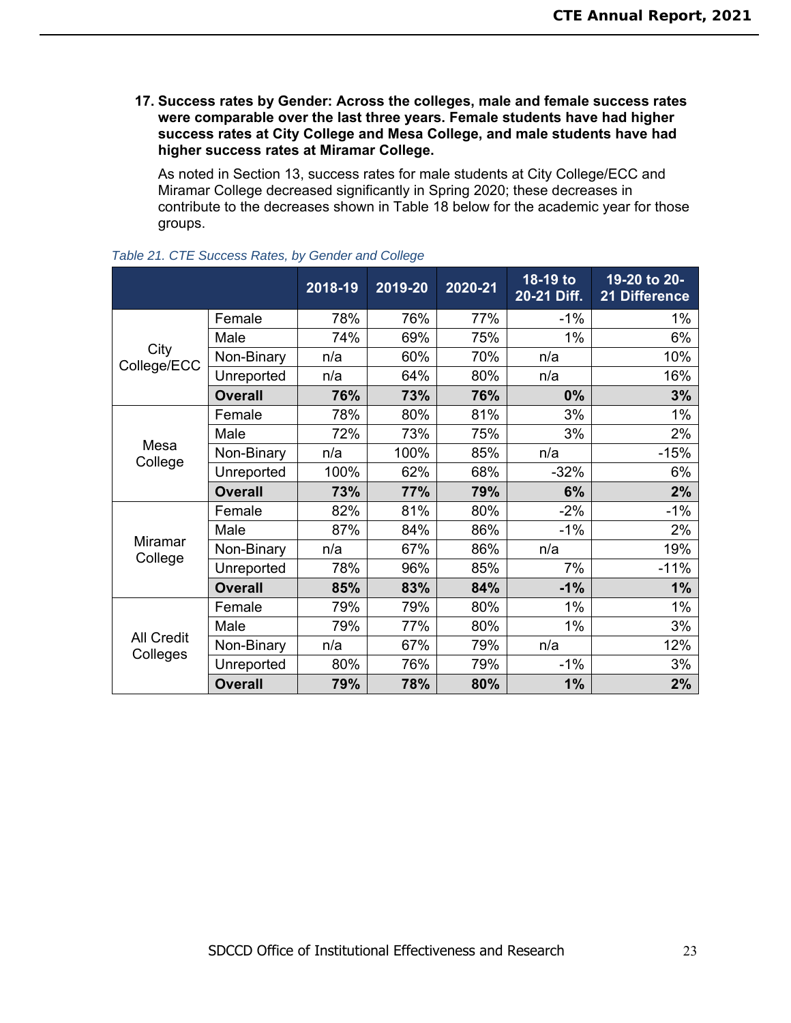**17. Success rates by Gender: Across the colleges, male and female success rates were comparable over the last three years. Female students have had higher success rates at City College and Mesa College, and male students have had higher success rates at Miramar College.** 

As noted in Section 13, success rates for male students at City College/ECC and Miramar College decreased significantly in Spring 2020; these decreases in contribute to the decreases shown in Table 18 below for the academic year for those groups.

|                     |                | 2018-19 | 2019-20 | 2020-21 | 18-19 to<br>20-21 Diff. | 19-20 to 20-<br>21 Difference |
|---------------------|----------------|---------|---------|---------|-------------------------|-------------------------------|
|                     | Female         | 78%     | 76%     | 77%     | $-1\%$                  | 1%                            |
|                     | Male           | 74%     | 69%     | 75%     | 1%                      | 6%                            |
| City<br>College/ECC | Non-Binary     | n/a     | 60%     | 70%     | n/a                     | 10%                           |
|                     | Unreported     | n/a     | 64%     | 80%     | n/a                     | 16%                           |
|                     | <b>Overall</b> | 76%     | 73%     | 76%     | 0%                      | 3%                            |
|                     | Female         | 78%     | 80%     | 81%     | 3%                      | 1%                            |
|                     | Male           | 72%     | 73%     | 75%     | 3%                      | 2%                            |
| Mesa                | Non-Binary     | n/a     | 100%    | 85%     | n/a                     | $-15%$                        |
| College             | Unreported     | 100%    | 62%     | 68%     | $-32%$                  | 6%                            |
|                     | <b>Overall</b> | 73%     | 77%     | 79%     | 6%                      | 2%                            |
|                     | Female         | 82%     | 81%     | 80%     | $-2%$                   | $-1%$                         |
|                     | Male           | 87%     | 84%     | 86%     | $-1%$                   | 2%                            |
| Miramar<br>College  | Non-Binary     | n/a     | 67%     | 86%     | n/a                     | 19%                           |
|                     | Unreported     | 78%     | 96%     | 85%     | 7%                      | $-11%$                        |
|                     | <b>Overall</b> | 85%     | 83%     | 84%     | $-1%$                   | 1%                            |
|                     | Female         | 79%     | 79%     | 80%     | 1%                      | 1%                            |
| <b>All Credit</b>   | Male           | 79%     | 77%     | 80%     | 1%                      | 3%                            |
|                     | Non-Binary     | n/a     | 67%     | 79%     | n/a                     | 12%                           |
| Colleges            | Unreported     | 80%     | 76%     | 79%     | $-1%$                   | 3%                            |
|                     | <b>Overall</b> | 79%     | 78%     | 80%     | 1%                      | 2%                            |

*Table 21. CTE Success Rates, by Gender and College*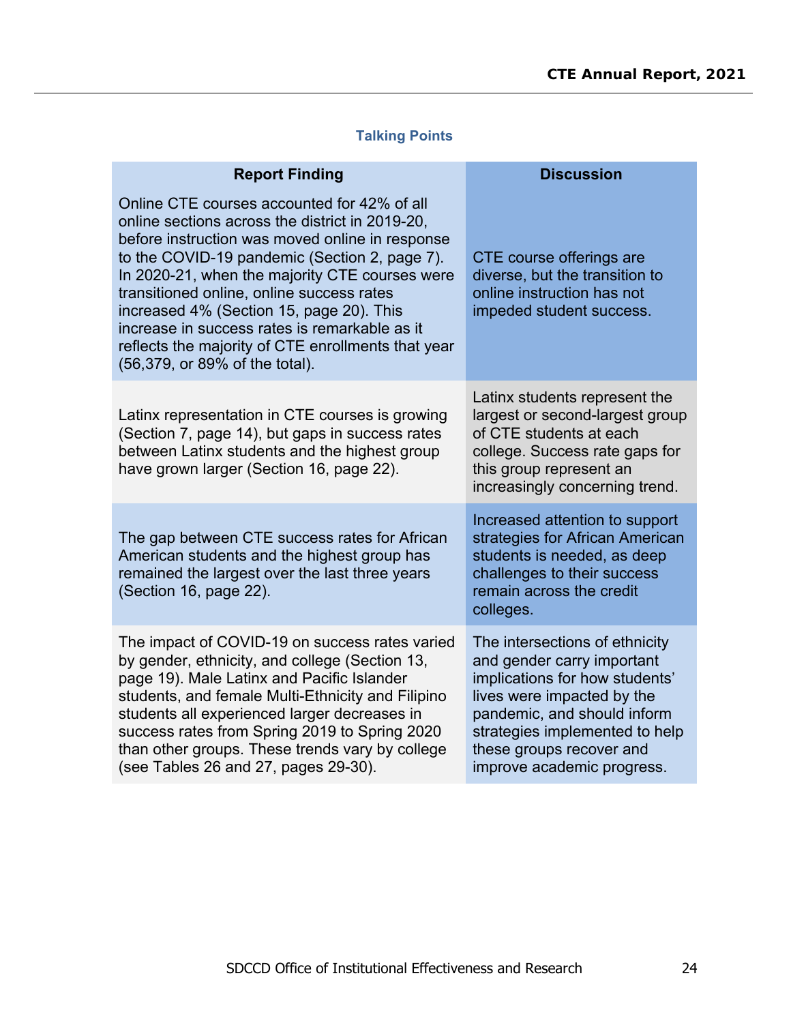# **Talking Points**

| <b>Report Finding</b>                                                                                                                                                                                                                                                                                                                                                                                                                                                                  | <b>Discussion</b>                                                                                                                                                                                                                                       |
|----------------------------------------------------------------------------------------------------------------------------------------------------------------------------------------------------------------------------------------------------------------------------------------------------------------------------------------------------------------------------------------------------------------------------------------------------------------------------------------|---------------------------------------------------------------------------------------------------------------------------------------------------------------------------------------------------------------------------------------------------------|
| Online CTE courses accounted for 42% of all<br>online sections across the district in 2019-20,<br>before instruction was moved online in response<br>to the COVID-19 pandemic (Section 2, page 7).<br>In 2020-21, when the majority CTE courses were<br>transitioned online, online success rates<br>increased 4% (Section 15, page 20). This<br>increase in success rates is remarkable as it<br>reflects the majority of CTE enrollments that year<br>(56,379, or 89% of the total). | CTE course offerings are<br>diverse, but the transition to<br>online instruction has not<br>impeded student success.                                                                                                                                    |
| Latinx representation in CTE courses is growing<br>(Section 7, page 14), but gaps in success rates<br>between Latinx students and the highest group<br>have grown larger (Section 16, page 22).                                                                                                                                                                                                                                                                                        | Latinx students represent the<br>largest or second-largest group<br>of CTE students at each<br>college. Success rate gaps for<br>this group represent an<br>increasingly concerning trend.                                                              |
| The gap between CTE success rates for African<br>American students and the highest group has<br>remained the largest over the last three years<br>(Section 16, page 22).                                                                                                                                                                                                                                                                                                               | Increased attention to support<br>strategies for African American<br>students is needed, as deep<br>challenges to their success<br>remain across the credit<br>colleges.                                                                                |
| The impact of COVID-19 on success rates varied<br>by gender, ethnicity, and college (Section 13,<br>page 19). Male Latinx and Pacific Islander<br>students, and female Multi-Ethnicity and Filipino<br>students all experienced larger decreases in<br>success rates from Spring 2019 to Spring 2020<br>than other groups. These trends vary by college<br>(see Tables 26 and 27, pages 29-30).                                                                                        | The intersections of ethnicity<br>and gender carry important<br>implications for how students'<br>lives were impacted by the<br>pandemic, and should inform<br>strategies implemented to help<br>these groups recover and<br>improve academic progress. |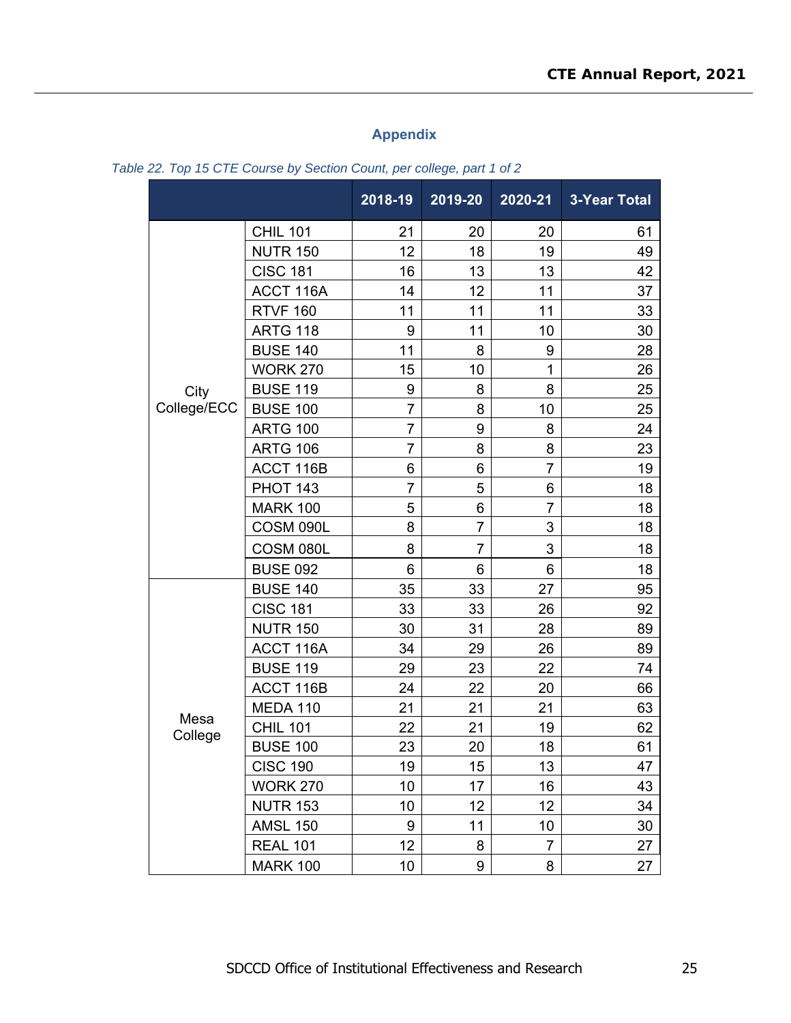## **Appendix**

|             |                 | 2018-19        | 2019-20        | 2020-21        | <b>3-Year Total</b> |
|-------------|-----------------|----------------|----------------|----------------|---------------------|
|             | <b>CHIL 101</b> | 21             | 20             | 20             | 61                  |
|             | <b>NUTR 150</b> | 12             | 18             | 19             | 49                  |
|             | <b>CISC 181</b> | 16             | 13             | 13             | 42                  |
|             | ACCT 116A       | 14             | 12             | 11             | 37                  |
|             | <b>RTVF 160</b> | 11             | 11             | 11             | 33                  |
|             | <b>ARTG 118</b> | 9              | 11             | 10             | 30                  |
|             | <b>BUSE 140</b> | 11             | 8              | 9              | 28                  |
|             | <b>WORK 270</b> | 15             | 10             | 1              | 26                  |
| City        | <b>BUSE 119</b> | 9              | 8              | 8              | 25                  |
| College/ECC | <b>BUSE 100</b> | $\overline{7}$ | 8              | 10             | 25                  |
|             | <b>ARTG 100</b> | $\overline{7}$ | 9              | 8              | 24                  |
|             | <b>ARTG 106</b> | $\overline{7}$ | 8              | 8              | 23                  |
|             | ACCT 116B       | 6              | 6              | $\overline{7}$ | 19                  |
|             | <b>PHOT 143</b> | $\overline{7}$ | 5              | 6              | 18                  |
|             | <b>MARK 100</b> | 5              | 6              | $\overline{7}$ | 18                  |
|             | COSM 090L       | 8              | $\overline{7}$ | 3              | 18                  |
|             | COSM 080L       | 8              | $\overline{7}$ | 3              | 18                  |
|             | <b>BUSE 092</b> | 6              | 6              | 6              | 18                  |
|             | <b>BUSE 140</b> | 35             | 33             | 27             | 95                  |
|             | <b>CISC 181</b> | 33             | 33             | 26             | 92                  |
|             | <b>NUTR 150</b> | 30             | 31             | 28             | 89                  |
|             | ACCT 116A       | 34             | 29             | 26             | 89                  |
|             | <b>BUSE 119</b> | 29             | 23             | 22             | 74                  |
|             | ACCT 116B       | 24             | 22             | 20             | 66                  |
|             | <b>MEDA 110</b> | 21             | 21             | 21             | 63                  |
| Mesa        | <b>CHIL 101</b> | 22             | 21             | 19             | 62                  |
| College     | <b>BUSE 100</b> | 23             | 20             | 18             | 61                  |
|             | <b>CISC 190</b> | 19             | 15             | 13             | 47                  |
|             | <b>WORK 270</b> | 10             | 17             | 16             | 43                  |
|             | <b>NUTR 153</b> | 10             | 12             | 12             | 34                  |
|             | <b>AMSL 150</b> | 9              | 11             | 10             | 30                  |
|             | <b>REAL 101</b> | 12             | 8              | $\overline{7}$ | 27                  |
|             | <b>MARK 100</b> | 10             | 9              | 8              | 27                  |

*Table 22. Top 15 CTE Course by Section Count, per college, part 1 of 2*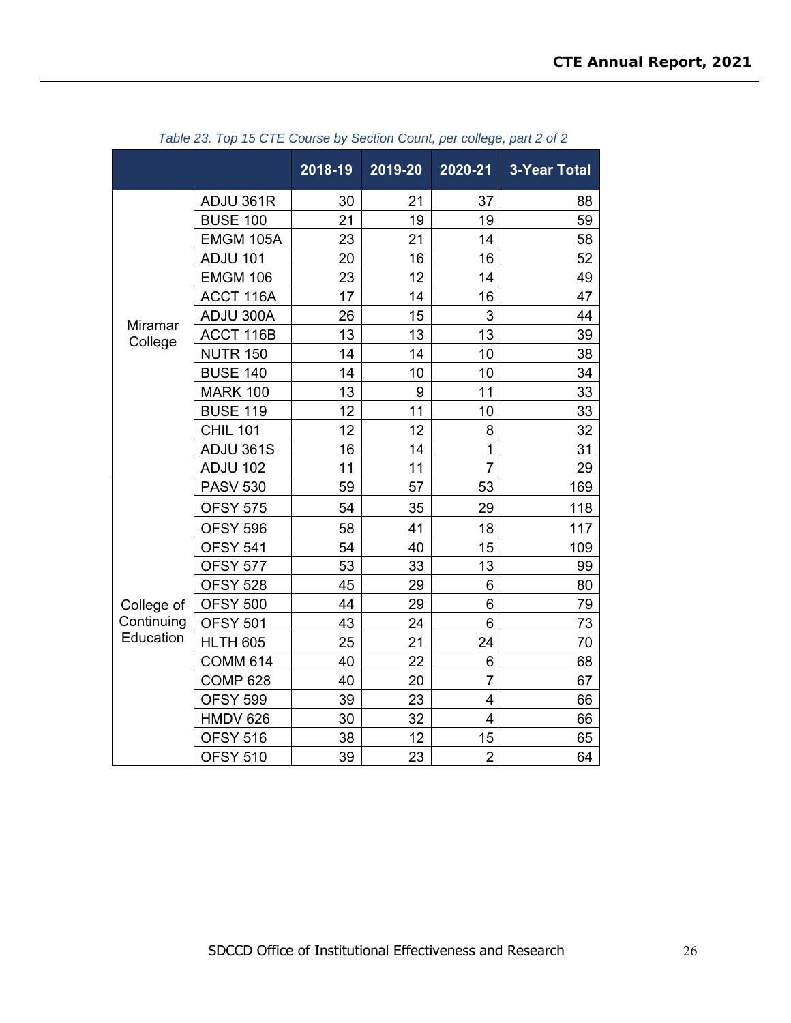|                |                 | 2018-19 | 2019-20 | 2020-21        | <b>3-Year Total</b> |
|----------------|-----------------|---------|---------|----------------|---------------------|
|                | ADJU 361R       | 30      | 21      | 37             | 88                  |
|                | <b>BUSE 100</b> | 21      | 19      | 19             | 59                  |
|                | EMGM 105A       | 23      | 21      | 14             | 58                  |
|                | <b>ADJU 101</b> | 20      | 16      | 16             | 52                  |
|                | <b>EMGM 106</b> | 23      | 12      | 14             | 49                  |
|                | ACCT 116A       | 17      | 14      | 16             | 47                  |
| <b>Miramar</b> | ADJU 300A       | 26      | 15      | 3              | 44                  |
| College        | ACCT 116B       | 13      | 13      | 13             | 39                  |
|                | <b>NUTR 150</b> | 14      | 14      | 10             | 38                  |
|                | <b>BUSE 140</b> | 14      | 10      | 10             | 34                  |
|                | <b>MARK 100</b> | 13      | 9       | 11             | 33                  |
|                | <b>BUSE 119</b> | 12      | 11      | 10             | 33                  |
|                | <b>CHIL 101</b> | 12      | 12      | 8              | 32                  |
|                | ADJU 361S       | 16      | 14      | $\mathbf{1}$   | 31                  |
|                | <b>ADJU 102</b> | 11      | 11      | $\overline{7}$ | 29                  |
|                | <b>PASV 530</b> | 59      | 57      | 53             | 169                 |
|                | <b>OFSY 575</b> | 54      | 35      | 29             | 118                 |
|                | <b>OFSY 596</b> | 58      | 41      | 18             | 117                 |
|                | <b>OFSY 541</b> | 54      | 40      | 15             | 109                 |
|                | <b>OFSY 577</b> | 53      | 33      | 13             | 99                  |
|                | <b>OFSY 528</b> | 45      | 29      | 6              | 80                  |
| College of     | <b>OFSY 500</b> | 44      | 29      | 6              | 79                  |
| Continuing     | <b>OFSY 501</b> | 43      | 24      | 6              | 73                  |
| Education      | <b>HLTH 605</b> | 25      | 21      | 24             | 70                  |
|                | <b>COMM 614</b> | 40      | 22      | 6              | 68                  |
|                | <b>COMP 628</b> | 40      | 20      | $\overline{7}$ | 67                  |
|                | <b>OFSY 599</b> | 39      | 23      | 4              | 66                  |
|                | <b>HMDV 626</b> | 30      | 32      | 4              | 66                  |
|                | <b>OFSY 516</b> | 38      | 12      | 15             | 65                  |
|                | <b>OFSY 510</b> | 39      | 23      | $\overline{2}$ | 64                  |

*Table 23. Top 15 CTE Course by Section Count, per college, part 2 of 2*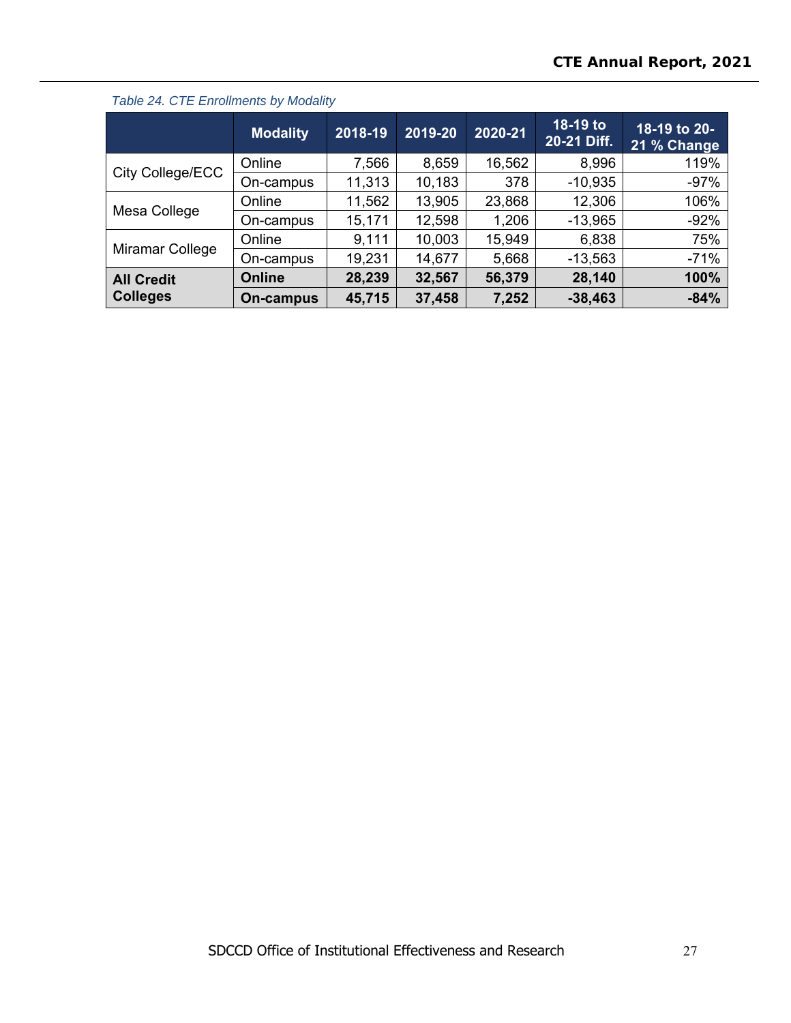|                                      | <b>Modality</b> | 2018-19 | 2019-20 | 2020-21 | 18-19 to<br>20-21 Diff. | 18-19 to 20-<br>21 % Change |
|--------------------------------------|-----------------|---------|---------|---------|-------------------------|-----------------------------|
| City College/ECC                     | Online          | 7,566   | 8,659   | 16,562  | 8,996                   | 119%                        |
|                                      | On-campus       | 11,313  | 10,183  | 378     | $-10,935$               | $-97%$                      |
|                                      | Online          | 11,562  | 13,905  | 23,868  | 12,306                  | 106%                        |
| Mesa College                         | On-campus       | 15,171  | 12,598  | 1,206   | $-13,965$               | $-92%$                      |
|                                      | Online          | 9,111   | 10,003  | 15,949  | 6,838                   | 75%                         |
| Miramar College                      | On-campus       | 19,231  | 14,677  | 5,668   | $-13,563$               | $-71%$                      |
| <b>All Credit</b><br><b>Colleges</b> | <b>Online</b>   | 28,239  | 32,567  | 56,379  | 28,140                  | 100%                        |
|                                      | On-campus       | 45,715  | 37,458  | 7,252   | $-38,463$               | $-84%$                      |

*Table 24. CTE Enrollments by Modality*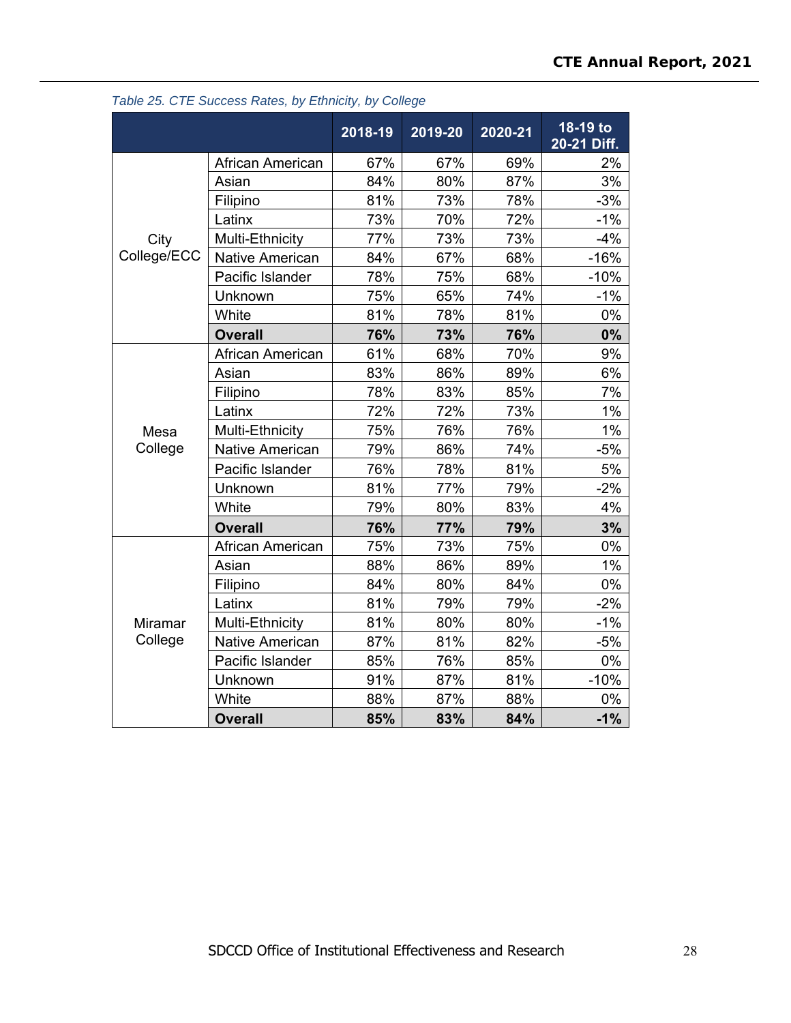|             |                        | 2018-19 | 2019-20 | 2020-21 | 18-19 to<br>20-21 Diff. |
|-------------|------------------------|---------|---------|---------|-------------------------|
|             | African American       | 67%     | 67%     | 69%     | 2%                      |
|             | Asian                  | 84%     | 80%     | 87%     | 3%                      |
|             | Filipino               | 81%     | 73%     | 78%     | $-3%$                   |
|             | Latinx                 | 73%     | 70%     | 72%     | $-1%$                   |
| City        | Multi-Ethnicity        | 77%     | 73%     | 73%     | $-4%$                   |
| College/ECC | <b>Native American</b> | 84%     | 67%     | 68%     | $-16%$                  |
|             | Pacific Islander       | 78%     | 75%     | 68%     | $-10%$                  |
|             | Unknown                | 75%     | 65%     | 74%     | $-1%$                   |
|             | White                  | 81%     | 78%     | 81%     | 0%                      |
|             | <b>Overall</b>         | 76%     | 73%     | 76%     | 0%                      |
|             | African American       | 61%     | 68%     | 70%     | 9%                      |
|             | Asian                  | 83%     | 86%     | 89%     | 6%                      |
|             | Filipino               | 78%     | 83%     | 85%     | 7%                      |
|             | Latinx                 | 72%     | 72%     | 73%     | 1%                      |
| Mesa        | Multi-Ethnicity        | 75%     | 76%     | 76%     | 1%                      |
| College     | <b>Native American</b> | 79%     | 86%     | 74%     | $-5%$                   |
|             | Pacific Islander       | 76%     | 78%     | 81%     | 5%                      |
|             | Unknown                | 81%     | 77%     | 79%     | $-2%$                   |
|             | White                  | 79%     | 80%     | 83%     | 4%                      |
|             | <b>Overall</b>         | 76%     | 77%     | 79%     | 3%                      |
|             | African American       | 75%     | 73%     | 75%     | 0%                      |
|             | Asian                  | 88%     | 86%     | 89%     | 1%                      |
|             | Filipino               | 84%     | 80%     | 84%     | $0\%$                   |
|             | Latinx                 | 81%     | 79%     | 79%     | $-2%$                   |
| Miramar     | Multi-Ethnicity        | 81%     | 80%     | 80%     | $-1%$                   |
| College     | <b>Native American</b> | 87%     | 81%     | 82%     | $-5%$                   |
|             | Pacific Islander       | 85%     | 76%     | 85%     | $0\%$                   |
|             | Unknown                | 91%     | 87%     | 81%     | $-10%$                  |
|             | White                  | 88%     | 87%     | 88%     | 0%                      |
|             | <b>Overall</b>         | 85%     | 83%     | 84%     | $-1%$                   |

## *Table 25. CTE Success Rates, by Ethnicity, by College*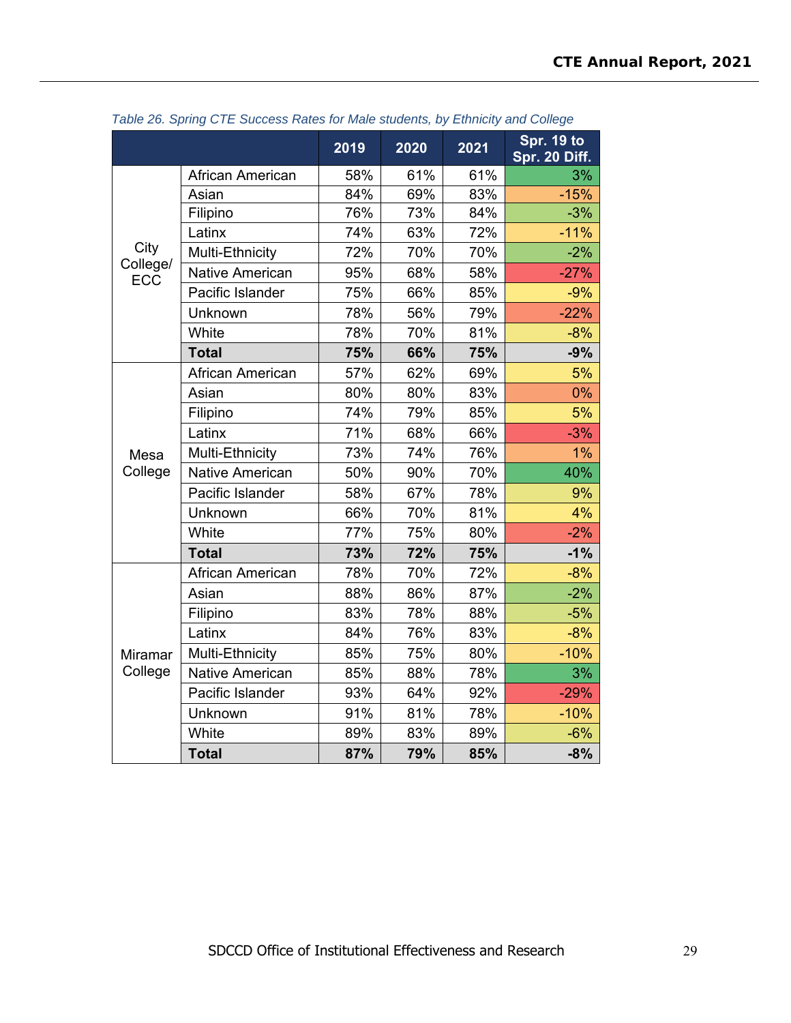|                        |                        | 2019 | 2020 | 2021 | Spr. 19 to<br>Spr. 20 Diff. |
|------------------------|------------------------|------|------|------|-----------------------------|
|                        | African American       | 58%  | 61%  | 61%  | 3%                          |
|                        | Asian                  | 84%  | 69%  | 83%  | $-15%$                      |
|                        | Filipino               | 76%  | 73%  | 84%  | $-3%$                       |
|                        | Latinx                 | 74%  | 63%  | 72%  | $-11%$                      |
| City                   | Multi-Ethnicity        | 72%  | 70%  | 70%  | $-2%$                       |
| College/<br><b>ECC</b> | <b>Native American</b> | 95%  | 68%  | 58%  | $-27%$                      |
|                        | Pacific Islander       | 75%  | 66%  | 85%  | $-9%$                       |
|                        | Unknown                | 78%  | 56%  | 79%  | $-22%$                      |
|                        | White                  | 78%  | 70%  | 81%  | $-8%$                       |
|                        | <b>Total</b>           | 75%  | 66%  | 75%  | $-9%$                       |
|                        | African American       | 57%  | 62%  | 69%  | 5%                          |
|                        | Asian                  | 80%  | 80%  | 83%  | $0\%$                       |
|                        | Filipino               | 74%  | 79%  | 85%  | 5%                          |
|                        | Latinx                 | 71%  | 68%  | 66%  | $-3%$                       |
| Mesa                   | Multi-Ethnicity        | 73%  | 74%  | 76%  | 1%                          |
| College                | <b>Native American</b> | 50%  | 90%  | 70%  | 40%                         |
|                        | Pacific Islander       | 58%  | 67%  | 78%  | 9%                          |
|                        | Unknown                | 66%  | 70%  | 81%  | 4%                          |
|                        | White                  | 77%  | 75%  | 80%  | $-2%$                       |
|                        | <b>Total</b>           | 73%  | 72%  | 75%  | $-1%$                       |
|                        | African American       | 78%  | 70%  | 72%  | $-8%$                       |
|                        | Asian                  | 88%  | 86%  | 87%  | $-2%$                       |
|                        | Filipino               | 83%  | 78%  | 88%  | $-5%$                       |
|                        | Latinx                 | 84%  | 76%  | 83%  | $-8%$                       |
| <b>Miramar</b>         | Multi-Ethnicity        | 85%  | 75%  | 80%  | $-10%$                      |
| College                | <b>Native American</b> | 85%  | 88%  | 78%  | 3%                          |
|                        | Pacific Islander       | 93%  | 64%  | 92%  | $-29%$                      |
|                        | Unknown                | 91%  | 81%  | 78%  | $-10%$                      |
|                        | White                  | 89%  | 83%  | 89%  | $-6%$                       |
|                        | <b>Total</b>           | 87%  | 79%  | 85%  | $-8%$                       |

*Table 26. Spring CTE Success Rates for Male students, by Ethnicity and College*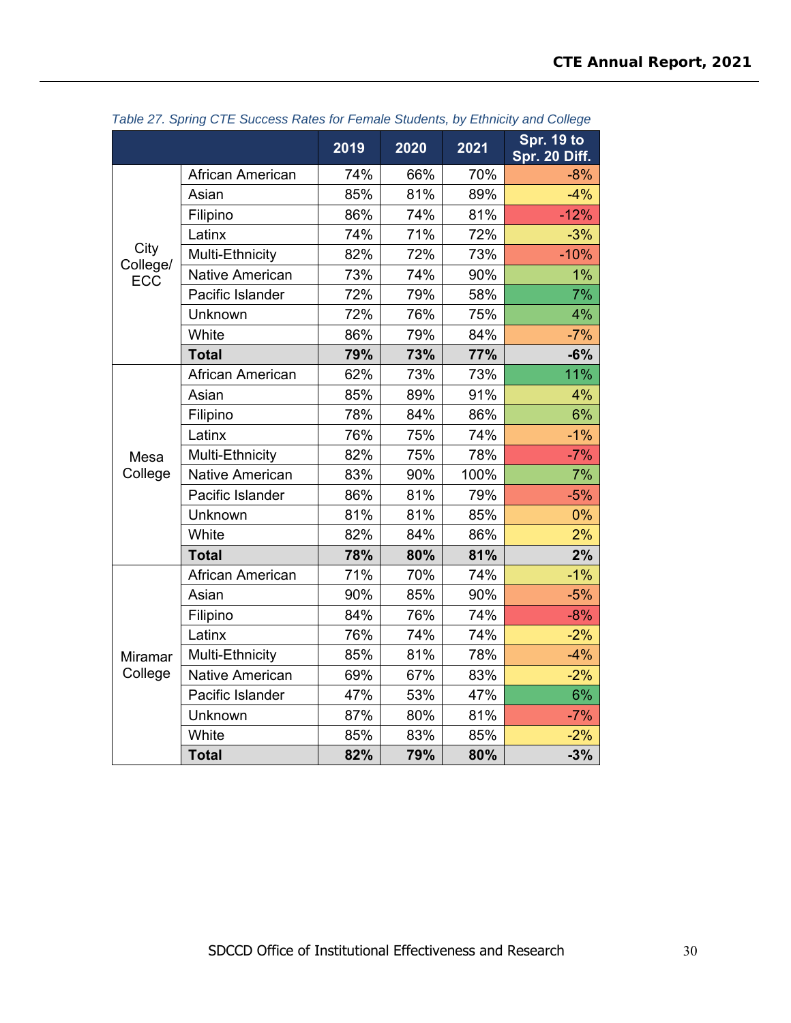|                  |                        | 2019 | 2020 | 2021 | <b>Spr. 19 to</b><br>Spr. 20 Diff. |
|------------------|------------------------|------|------|------|------------------------------------|
|                  | African American       | 74%  | 66%  | 70%  | $-8%$                              |
|                  | Asian                  | 85%  | 81%  | 89%  | $-4%$                              |
|                  | Filipino               | 86%  | 74%  | 81%  | $-12%$                             |
|                  | Latinx                 | 74%  | 71%  | 72%  | $-3%$                              |
| City<br>College/ | Multi-Ethnicity        | 82%  | 72%  | 73%  | $-10%$                             |
| <b>ECC</b>       | <b>Native American</b> | 73%  | 74%  | 90%  | 1%                                 |
|                  | Pacific Islander       | 72%  | 79%  | 58%  | 7%                                 |
|                  | Unknown                | 72%  | 76%  | 75%  | 4%                                 |
|                  | White                  | 86%  | 79%  | 84%  | $-7%$                              |
|                  | <b>Total</b>           | 79%  | 73%  | 77%  | $-6%$                              |
|                  | African American       | 62%  | 73%  | 73%  | 11%                                |
|                  | Asian                  | 85%  | 89%  | 91%  | 4%                                 |
|                  | Filipino               | 78%  | 84%  | 86%  | 6%                                 |
|                  | Latinx                 | 76%  | 75%  | 74%  | $-1%$                              |
| Mesa             | Multi-Ethnicity        | 82%  | 75%  | 78%  | $-7%$                              |
| College          | <b>Native American</b> | 83%  | 90%  | 100% | 7%                                 |
|                  | Pacific Islander       | 86%  | 81%  | 79%  | $-5%$                              |
|                  | Unknown                | 81%  | 81%  | 85%  | 0%                                 |
|                  | White                  | 82%  | 84%  | 86%  | 2%                                 |
|                  | <b>Total</b>           | 78%  | 80%  | 81%  | 2%                                 |
|                  | African American       | 71%  | 70%  | 74%  | $-1%$                              |
|                  | Asian                  | 90%  | 85%  | 90%  | $-5%$                              |
|                  | Filipino               | 84%  | 76%  | 74%  | $-8%$                              |
|                  | Latinx                 | 76%  | 74%  | 74%  | $-2%$                              |
| <b>Miramar</b>   | Multi-Ethnicity        | 85%  | 81%  | 78%  | $-4%$                              |
| College          | <b>Native American</b> | 69%  | 67%  | 83%  | $-2%$                              |
|                  | Pacific Islander       | 47%  | 53%  | 47%  | 6%                                 |
|                  | Unknown                | 87%  | 80%  | 81%  | $-7%$                              |
|                  | White                  | 85%  | 83%  | 85%  | $-2%$                              |
|                  | <b>Total</b>           | 82%  | 79%  | 80%  | $-3%$                              |

*Table 27. Spring CTE Success Rates for Female Students, by Ethnicity and College*